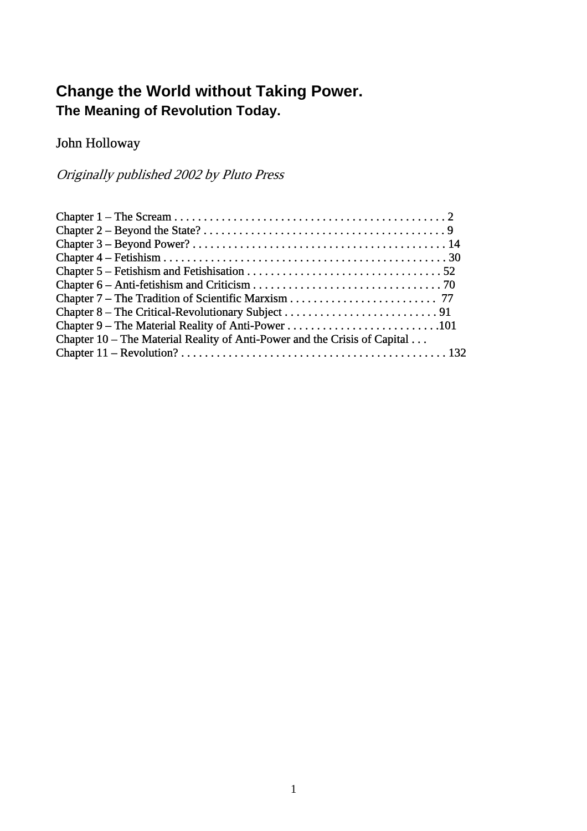# **Change the World without Taking Power. The Meaning of Revolution Today.**

# John Holloway

Originally published 2002 by Pluto Press

| Chapter 10 – The Material Reality of Anti-Power and the Crisis of Capital |  |
|---------------------------------------------------------------------------|--|
|                                                                           |  |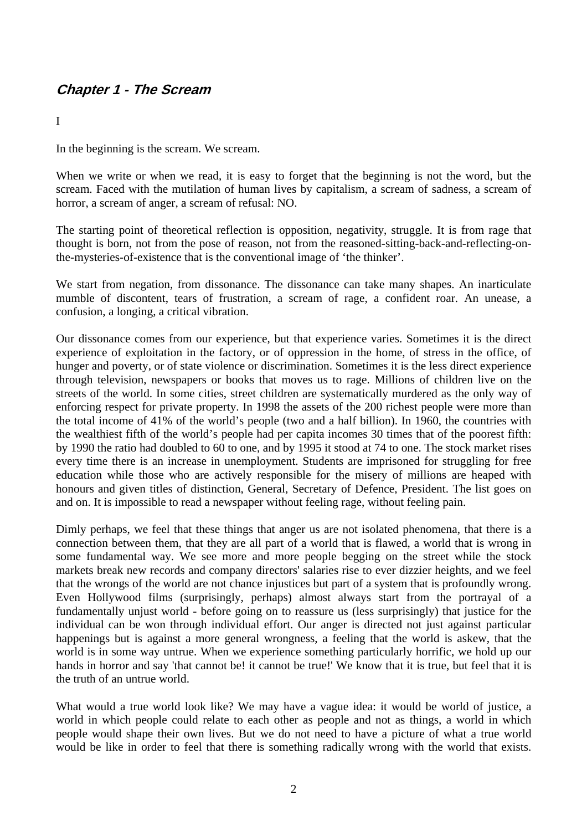# **Chapter 1 - The Scream**

# I

In the beginning is the scream. We scream.

When we write or when we read, it is easy to forget that the beginning is not the word, but the scream. Faced with the mutilation of human lives by capitalism, a scream of sadness, a scream of horror, a scream of anger, a scream of refusal: NO.

The starting point of theoretical reflection is opposition, negativity, struggle. It is from rage that thought is born, not from the pose of reason, not from the reasoned-sitting-back-and-reflecting-onthe-mysteries-of-existence that is the conventional image of 'the thinker'.

We start from negation, from dissonance. The dissonance can take many shapes. An inarticulate mumble of discontent, tears of frustration, a scream of rage, a confident roar. An unease, a confusion, a longing, a critical vibration.

Our dissonance comes from our experience, but that experience varies. Sometimes it is the direct experience of exploitation in the factory, or of oppression in the home, of stress in the office, of hunger and poverty, or of state violence or discrimination. Sometimes it is the less direct experience through television, newspapers or books that moves us to rage. Millions of children live on the streets of the world. In some cities, street children are systematically murdered as the only way of enforcing respect for private property. In 1998 the assets of the 200 richest people were more than the total income of 41% of the world's people (two and a half billion). In 1960, the countries with the wealthiest fifth of the world's people had per capita incomes 30 times that of the poorest fifth: by 1990 the ratio had doubled to 60 to one, and by 1995 it stood at 74 to one. The stock market rises every time there is an increase in unemployment. Students are imprisoned for struggling for free education while those who are actively responsible for the misery of millions are heaped with honours and given titles of distinction, General, Secretary of Defence, President. The list goes on and on. It is impossible to read a newspaper without feeling rage, without feeling pain.

Dimly perhaps, we feel that these things that anger us are not isolated phenomena, that there is a connection between them, that they are all part of a world that is flawed, a world that is wrong in some fundamental way. We see more and more people begging on the street while the stock markets break new records and company directors' salaries rise to ever dizzier heights, and we feel that the wrongs of the world are not chance injustices but part of a system that is profoundly wrong. Even Hollywood films (surprisingly, perhaps) almost always start from the portrayal of a fundamentally unjust world - before going on to reassure us (less surprisingly) that justice for the individual can be won through individual effort. Our anger is directed not just against particular happenings but is against a more general wrongness, a feeling that the world is askew, that the world is in some way untrue. When we experience something particularly horrific, we hold up our hands in horror and say 'that cannot be! it cannot be true!' We know that it is true, but feel that it is the truth of an untrue world.

What would a true world look like? We may have a vague idea: it would be world of justice, a world in which people could relate to each other as people and not as things, a world in which people would shape their own lives. But we do not need to have a picture of what a true world would be like in order to feel that there is something radically wrong with the world that exists.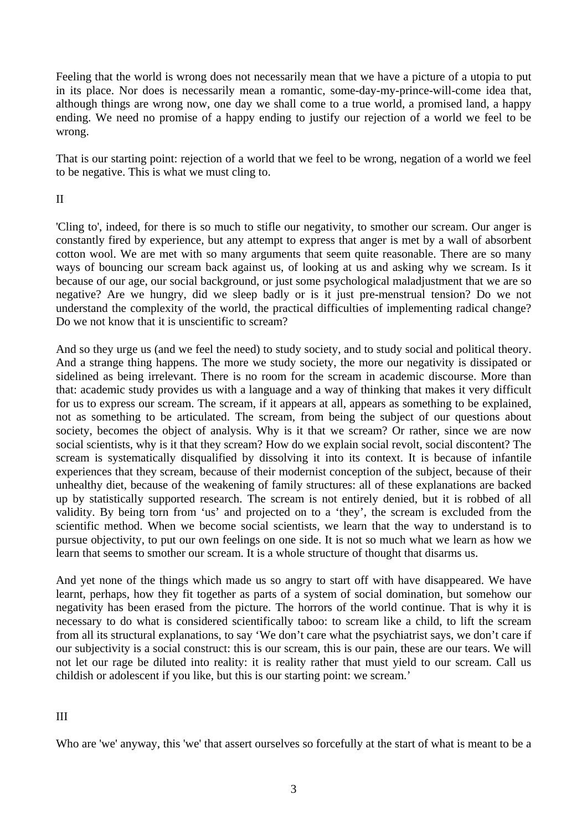Feeling that the world is wrong does not necessarily mean that we have a picture of a utopia to put in its place. Nor does is necessarily mean a romantic, some-day-my-prince-will-come idea that, although things are wrong now, one day we shall come to a true world, a promised land, a happy ending. We need no promise of a happy ending to justify our rejection of a world we feel to be wrong.

That is our starting point: rejection of a world that we feel to be wrong, negation of a world we feel to be negative. This is what we must cling to.

### II

'Cling to', indeed, for there is so much to stifle our negativity, to smother our scream. Our anger is constantly fired by experience, but any attempt to express that anger is met by a wall of absorbent cotton wool. We are met with so many arguments that seem quite reasonable. There are so many ways of bouncing our scream back against us, of looking at us and asking why we scream. Is it because of our age, our social background, or just some psychological maladjustment that we are so negative? Are we hungry, did we sleep badly or is it just pre-menstrual tension? Do we not understand the complexity of the world, the practical difficulties of implementing radical change? Do we not know that it is unscientific to scream?

And so they urge us (and we feel the need) to study society, and to study social and political theory. And a strange thing happens. The more we study society, the more our negativity is dissipated or sidelined as being irrelevant. There is no room for the scream in academic discourse. More than that: academic study provides us with a language and a way of thinking that makes it very difficult for us to express our scream. The scream, if it appears at all, appears as something to be explained, not as something to be articulated. The scream, from being the subject of our questions about society, becomes the object of analysis. Why is it that we scream? Or rather, since we are now social scientists, why is it that they scream? How do we explain social revolt, social discontent? The scream is systematically disqualified by dissolving it into its context. It is because of infantile experiences that they scream, because of their modernist conception of the subject, because of their unhealthy diet, because of the weakening of family structures: all of these explanations are backed up by statistically supported research. The scream is not entirely denied, but it is robbed of all validity. By being torn from 'us' and projected on to a 'they', the scream is excluded from the scientific method. When we become social scientists, we learn that the way to understand is to pursue objectivity, to put our own feelings on one side. It is not so much what we learn as how we learn that seems to smother our scream. It is a whole structure of thought that disarms us.

And yet none of the things which made us so angry to start off with have disappeared. We have learnt, perhaps, how they fit together as parts of a system of social domination, but somehow our negativity has been erased from the picture. The horrors of the world continue. That is why it is necessary to do what is considered scientifically taboo: to scream like a child, to lift the scream from all its structural explanations, to say 'We don't care what the psychiatrist says, we don't care if our subjectivity is a social construct: this is our scream, this is our pain, these are our tears. We will not let our rage be diluted into reality: it is reality rather that must yield to our scream. Call us childish or adolescent if you like, but this is our starting point: we scream.'

### III

Who are 'we' anyway, this 'we' that assert ourselves so forcefully at the start of what is meant to be a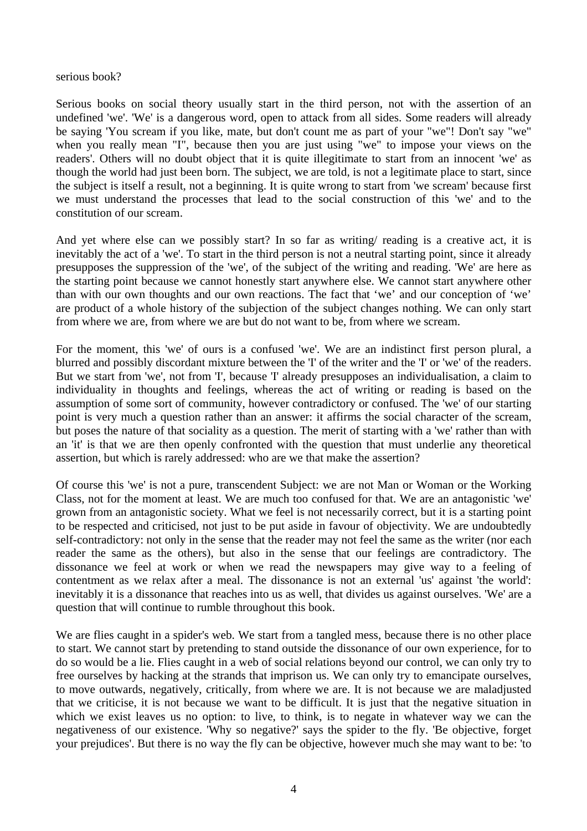serious book?

Serious books on social theory usually start in the third person, not with the assertion of an undefined 'we'. 'We' is a dangerous word, open to attack from all sides. Some readers will already be saying 'You scream if you like, mate, but don't count me as part of your "we"! Don't say "we" when you really mean "I", because then you are just using "we" to impose your views on the readers'. Others will no doubt object that it is quite illegitimate to start from an innocent 'we' as though the world had just been born. The subject, we are told, is not a legitimate place to start, since the subject is itself a result, not a beginning. It is quite wrong to start from 'we scream' because first we must understand the processes that lead to the social construction of this 'we' and to the constitution of our scream.

And yet where else can we possibly start? In so far as writing/ reading is a creative act, it is inevitably the act of a 'we'. To start in the third person is not a neutral starting point, since it already presupposes the suppression of the 'we', of the subject of the writing and reading. 'We' are here as the starting point because we cannot honestly start anywhere else. We cannot start anywhere other than with our own thoughts and our own reactions. The fact that 'we' and our conception of 'we' are product of a whole history of the subjection of the subject changes nothing. We can only start from where we are, from where we are but do not want to be, from where we scream.

For the moment, this 'we' of ours is a confused 'we'. We are an indistinct first person plural, a blurred and possibly discordant mixture between the 'I' of the writer and the 'I' or 'we' of the readers. But we start from 'we', not from 'I', because 'I' already presupposes an individualisation, a claim to individuality in thoughts and feelings, whereas the act of writing or reading is based on the assumption of some sort of community, however contradictory or confused. The 'we' of our starting point is very much a question rather than an answer: it affirms the social character of the scream, but poses the nature of that sociality as a question. The merit of starting with a 'we' rather than with an 'it' is that we are then openly confronted with the question that must underlie any theoretical assertion, but which is rarely addressed: who are we that make the assertion?

Of course this 'we' is not a pure, transcendent Subject: we are not Man or Woman or the Working Class, not for the moment at least. We are much too confused for that. We are an antagonistic 'we' grown from an antagonistic society. What we feel is not necessarily correct, but it is a starting point to be respected and criticised, not just to be put aside in favour of objectivity. We are undoubtedly self-contradictory: not only in the sense that the reader may not feel the same as the writer (nor each reader the same as the others), but also in the sense that our feelings are contradictory. The dissonance we feel at work or when we read the newspapers may give way to a feeling of contentment as we relax after a meal. The dissonance is not an external 'us' against 'the world': inevitably it is a dissonance that reaches into us as well, that divides us against ourselves. 'We' are a question that will continue to rumble throughout this book.

We are flies caught in a spider's web. We start from a tangled mess, because there is no other place to start. We cannot start by pretending to stand outside the dissonance of our own experience, for to do so would be a lie. Flies caught in a web of social relations beyond our control, we can only try to free ourselves by hacking at the strands that imprison us. We can only try to emancipate ourselves, to move outwards, negatively, critically, from where we are. It is not because we are maladjusted that we criticise, it is not because we want to be difficult. It is just that the negative situation in which we exist leaves us no option: to live, to think, is to negate in whatever way we can the negativeness of our existence. 'Why so negative?' says the spider to the fly. 'Be objective, forget your prejudices'. But there is no way the fly can be objective, however much she may want to be: 'to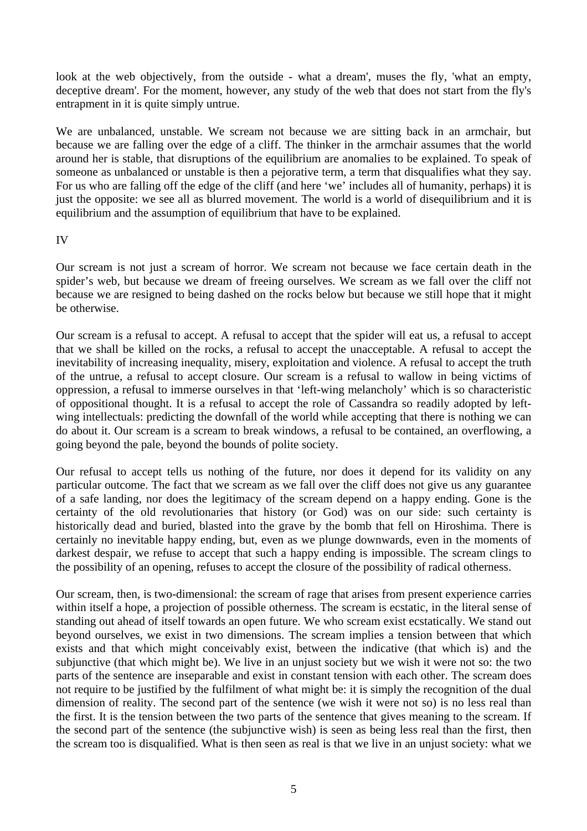look at the web objectively, from the outside - what a dream', muses the fly, 'what an empty, deceptive dream'. For the moment, however, any study of the web that does not start from the fly's entrapment in it is quite simply untrue.

We are unbalanced, unstable. We scream not because we are sitting back in an armchair, but because we are falling over the edge of a cliff. The thinker in the armchair assumes that the world around her is stable, that disruptions of the equilibrium are anomalies to be explained. To speak of someone as unbalanced or unstable is then a pejorative term, a term that disqualifies what they say. For us who are falling off the edge of the cliff (and here 'we' includes all of humanity, perhaps) it is just the opposite: we see all as blurred movement. The world is a world of disequilibrium and it is equilibrium and the assumption of equilibrium that have to be explained.

### IV

Our scream is not just a scream of horror. We scream not because we face certain death in the spider's web, but because we dream of freeing ourselves. We scream as we fall over the cliff not because we are resigned to being dashed on the rocks below but because we still hope that it might be otherwise.

Our scream is a refusal to accept. A refusal to accept that the spider will eat us, a refusal to accept that we shall be killed on the rocks, a refusal to accept the unacceptable. A refusal to accept the inevitability of increasing inequality, misery, exploitation and violence. A refusal to accept the truth of the untrue, a refusal to accept closure. Our scream is a refusal to wallow in being victims of oppression, a refusal to immerse ourselves in that 'left-wing melancholy' which is so characteristic of oppositional thought. It is a refusal to accept the role of Cassandra so readily adopted by leftwing intellectuals: predicting the downfall of the world while accepting that there is nothing we can do about it. Our scream is a scream to break windows, a refusal to be contained, an overflowing, a going beyond the pale, beyond the bounds of polite society.

Our refusal to accept tells us nothing of the future, nor does it depend for its validity on any particular outcome. The fact that we scream as we fall over the cliff does not give us any guarantee of a safe landing, nor does the legitimacy of the scream depend on a happy ending. Gone is the certainty of the old revolutionaries that history (or God) was on our side: such certainty is historically dead and buried, blasted into the grave by the bomb that fell on Hiroshima. There is certainly no inevitable happy ending, but, even as we plunge downwards, even in the moments of darkest despair, we refuse to accept that such a happy ending is impossible. The scream clings to the possibility of an opening, refuses to accept the closure of the possibility of radical otherness.

Our scream, then, is two-dimensional: the scream of rage that arises from present experience carries within itself a hope, a projection of possible otherness. The scream is ecstatic, in the literal sense of standing out ahead of itself towards an open future. We who scream exist ecstatically. We stand out beyond ourselves, we exist in two dimensions. The scream implies a tension between that which exists and that which might conceivably exist, between the indicative (that which is) and the subjunctive (that which might be). We live in an unjust society but we wish it were not so: the two parts of the sentence are inseparable and exist in constant tension with each other. The scream does not require to be justified by the fulfilment of what might be: it is simply the recognition of the dual dimension of reality. The second part of the sentence (we wish it were not so) is no less real than the first. It is the tension between the two parts of the sentence that gives meaning to the scream. If the second part of the sentence (the subjunctive wish) is seen as being less real than the first, then the scream too is disqualified. What is then seen as real is that we live in an unjust society: what we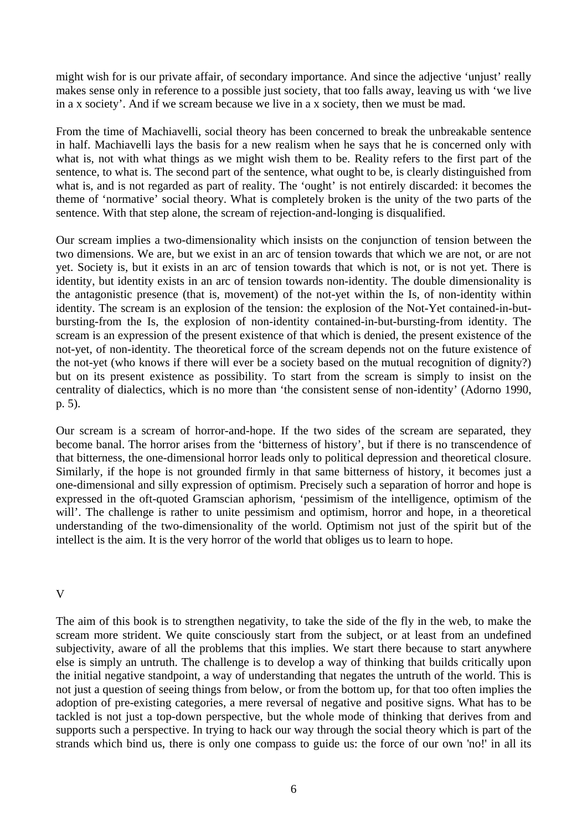might wish for is our private affair, of secondary importance. And since the adjective 'unjust' really makes sense only in reference to a possible just society, that too falls away, leaving us with 'we live in a x society'. And if we scream because we live in a x society, then we must be mad.

From the time of Machiavelli, social theory has been concerned to break the unbreakable sentence in half. Machiavelli lays the basis for a new realism when he says that he is concerned only with what is, not with what things as we might wish them to be. Reality refers to the first part of the sentence, to what is. The second part of the sentence, what ought to be, is clearly distinguished from what is, and is not regarded as part of reality. The 'ought' is not entirely discarded: it becomes the theme of 'normative' social theory. What is completely broken is the unity of the two parts of the sentence. With that step alone, the scream of rejection-and-longing is disqualified.

Our scream implies a two-dimensionality which insists on the conjunction of tension between the two dimensions. We are, but we exist in an arc of tension towards that which we are not, or are not yet. Society is, but it exists in an arc of tension towards that which is not, or is not yet. There is identity, but identity exists in an arc of tension towards non-identity. The double dimensionality is the antagonistic presence (that is, movement) of the not-yet within the Is, of non-identity within identity. The scream is an explosion of the tension: the explosion of the Not-Yet contained-in-butbursting-from the Is, the explosion of non-identity contained-in-but-bursting-from identity. The scream is an expression of the present existence of that which is denied, the present existence of the not-yet, of non-identity. The theoretical force of the scream depends not on the future existence of the not-yet (who knows if there will ever be a society based on the mutual recognition of dignity?) but on its present existence as possibility. To start from the scream is simply to insist on the centrality of dialectics, which is no more than 'the consistent sense of non-identity' (Adorno 1990, p. 5).

Our scream is a scream of horror-and-hope. If the two sides of the scream are separated, they become banal. The horror arises from the 'bitterness of history', but if there is no transcendence of that bitterness, the one-dimensional horror leads only to political depression and theoretical closure. Similarly, if the hope is not grounded firmly in that same bitterness of history, it becomes just a one-dimensional and silly expression of optimism. Precisely such a separation of horror and hope is expressed in the oft-quoted Gramscian aphorism, 'pessimism of the intelligence, optimism of the will'. The challenge is rather to unite pessimism and optimism, horror and hope, in a theoretical understanding of the two-dimensionality of the world. Optimism not just of the spirit but of the intellect is the aim. It is the very horror of the world that obliges us to learn to hope.

### V

The aim of this book is to strengthen negativity, to take the side of the fly in the web, to make the scream more strident. We quite consciously start from the subject, or at least from an undefined subjectivity, aware of all the problems that this implies. We start there because to start anywhere else is simply an untruth. The challenge is to develop a way of thinking that builds critically upon the initial negative standpoint, a way of understanding that negates the untruth of the world. This is not just a question of seeing things from below, or from the bottom up, for that too often implies the adoption of pre-existing categories, a mere reversal of negative and positive signs. What has to be tackled is not just a top-down perspective, but the whole mode of thinking that derives from and supports such a perspective. In trying to hack our way through the social theory which is part of the strands which bind us, there is only one compass to guide us: the force of our own 'no!' in all its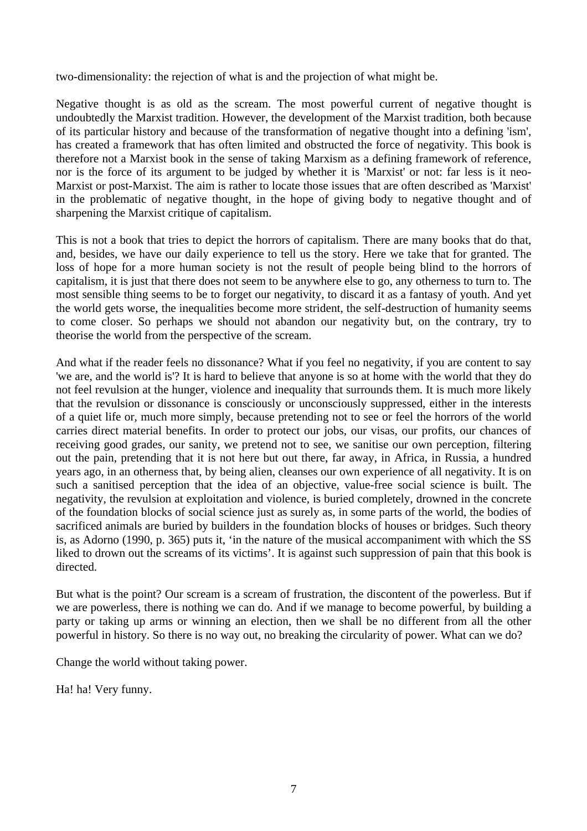two-dimensionality: the rejection of what is and the projection of what might be.

Negative thought is as old as the scream. The most powerful current of negative thought is undoubtedly the Marxist tradition. However, the development of the Marxist tradition, both because of its particular history and because of the transformation of negative thought into a defining 'ism', has created a framework that has often limited and obstructed the force of negativity. This book is therefore not a Marxist book in the sense of taking Marxism as a defining framework of reference, nor is the force of its argument to be judged by whether it is 'Marxist' or not: far less is it neo-Marxist or post-Marxist. The aim is rather to locate those issues that are often described as 'Marxist' in the problematic of negative thought, in the hope of giving body to negative thought and of sharpening the Marxist critique of capitalism.

This is not a book that tries to depict the horrors of capitalism. There are many books that do that, and, besides, we have our daily experience to tell us the story. Here we take that for granted. The loss of hope for a more human society is not the result of people being blind to the horrors of capitalism, it is just that there does not seem to be anywhere else to go, any otherness to turn to. The most sensible thing seems to be to forget our negativity, to discard it as a fantasy of youth. And yet the world gets worse, the inequalities become more strident, the self-destruction of humanity seems to come closer. So perhaps we should not abandon our negativity but, on the contrary, try to theorise the world from the perspective of the scream.

And what if the reader feels no dissonance? What if you feel no negativity, if you are content to say 'we are, and the world is'? It is hard to believe that anyone is so at home with the world that they do not feel revulsion at the hunger, violence and inequality that surrounds them. It is much more likely that the revulsion or dissonance is consciously or unconsciously suppressed, either in the interests of a quiet life or, much more simply, because pretending not to see or feel the horrors of the world carries direct material benefits. In order to protect our jobs, our visas, our profits, our chances of receiving good grades, our sanity, we pretend not to see, we sanitise our own perception, filtering out the pain, pretending that it is not here but out there, far away, in Africa, in Russia, a hundred years ago, in an otherness that, by being alien, cleanses our own experience of all negativity. It is on such a sanitised perception that the idea of an objective, value-free social science is built. The negativity, the revulsion at exploitation and violence, is buried completely, drowned in the concrete of the foundation blocks of social science just as surely as, in some parts of the world, the bodies of sacrificed animals are buried by builders in the foundation blocks of houses or bridges. Such theory is, as Adorno (1990, p. 365) puts it, 'in the nature of the musical accompaniment with which the SS liked to drown out the screams of its victims'. It is against such suppression of pain that this book is directed.

But what is the point? Our scream is a scream of frustration, the discontent of the powerless. But if we are powerless, there is nothing we can do. And if we manage to become powerful, by building a party or taking up arms or winning an election, then we shall be no different from all the other powerful in history. So there is no way out, no breaking the circularity of power. What can we do?

Change the world without taking power.

Ha! ha! Very funny.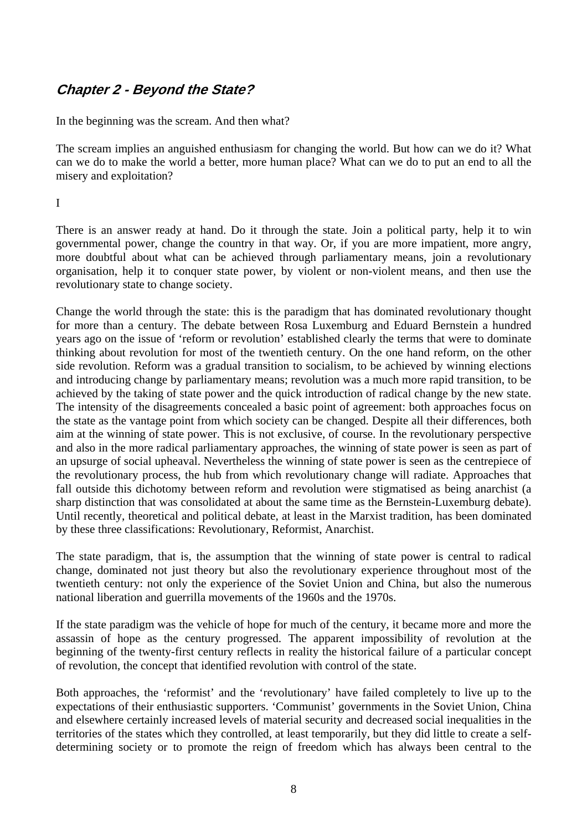# **Chapter 2 - Beyond the State?**

In the beginning was the scream. And then what?

The scream implies an anguished enthusiasm for changing the world. But how can we do it? What can we do to make the world a better, more human place? What can we do to put an end to all the misery and exploitation?

### I

There is an answer ready at hand. Do it through the state. Join a political party, help it to win governmental power, change the country in that way. Or, if you are more impatient, more angry, more doubtful about what can be achieved through parliamentary means, join a revolutionary organisation, help it to conquer state power, by violent or non-violent means, and then use the revolutionary state to change society.

Change the world through the state: this is the paradigm that has dominated revolutionary thought for more than a century. The debate between Rosa Luxemburg and Eduard Bernstein a hundred years ago on the issue of 'reform or revolution' established clearly the terms that were to dominate thinking about revolution for most of the twentieth century. On the one hand reform, on the other side revolution. Reform was a gradual transition to socialism, to be achieved by winning elections and introducing change by parliamentary means; revolution was a much more rapid transition, to be achieved by the taking of state power and the quick introduction of radical change by the new state. The intensity of the disagreements concealed a basic point of agreement: both approaches focus on the state as the vantage point from which society can be changed. Despite all their differences, both aim at the winning of state power. This is not exclusive, of course. In the revolutionary perspective and also in the more radical parliamentary approaches, the winning of state power is seen as part of an upsurge of social upheaval. Nevertheless the winning of state power is seen as the centrepiece of the revolutionary process, the hub from which revolutionary change will radiate. Approaches that fall outside this dichotomy between reform and revolution were stigmatised as being anarchist (a sharp distinction that was consolidated at about the same time as the Bernstein-Luxemburg debate). Until recently, theoretical and political debate, at least in the Marxist tradition, has been dominated by these three classifications: Revolutionary, Reformist, Anarchist.

The state paradigm, that is, the assumption that the winning of state power is central to radical change, dominated not just theory but also the revolutionary experience throughout most of the twentieth century: not only the experience of the Soviet Union and China, but also the numerous national liberation and guerrilla movements of the 1960s and the 1970s.

If the state paradigm was the vehicle of hope for much of the century, it became more and more the assassin of hope as the century progressed. The apparent impossibility of revolution at the beginning of the twenty-first century reflects in reality the historical failure of a particular concept of revolution, the concept that identified revolution with control of the state.

Both approaches, the 'reformist' and the 'revolutionary' have failed completely to live up to the expectations of their enthusiastic supporters. 'Communist' governments in the Soviet Union, China and elsewhere certainly increased levels of material security and decreased social inequalities in the territories of the states which they controlled, at least temporarily, but they did little to create a selfdetermining society or to promote the reign of freedom which has always been central to the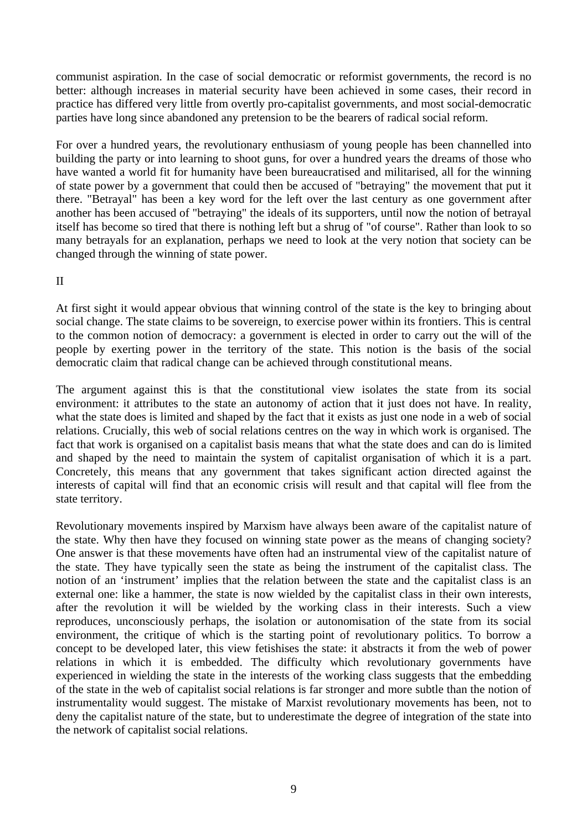communist aspiration. In the case of social democratic or reformist governments, the record is no better: although increases in material security have been achieved in some cases, their record in practice has differed very little from overtly pro-capitalist governments, and most social-democratic parties have long since abandoned any pretension to be the bearers of radical social reform.

For over a hundred years, the revolutionary enthusiasm of young people has been channelled into building the party or into learning to shoot guns, for over a hundred years the dreams of those who have wanted a world fit for humanity have been bureaucratised and militarised, all for the winning of state power by a government that could then be accused of "betraying" the movement that put it there. "Betrayal" has been a key word for the left over the last century as one government after another has been accused of "betraying" the ideals of its supporters, until now the notion of betrayal itself has become so tired that there is nothing left but a shrug of "of course". Rather than look to so many betrayals for an explanation, perhaps we need to look at the very notion that society can be changed through the winning of state power.

### II

At first sight it would appear obvious that winning control of the state is the key to bringing about social change. The state claims to be sovereign, to exercise power within its frontiers. This is central to the common notion of democracy: a government is elected in order to carry out the will of the people by exerting power in the territory of the state. This notion is the basis of the social democratic claim that radical change can be achieved through constitutional means.

The argument against this is that the constitutional view isolates the state from its social environment: it attributes to the state an autonomy of action that it just does not have. In reality, what the state does is limited and shaped by the fact that it exists as just one node in a web of social relations. Crucially, this web of social relations centres on the way in which work is organised. The fact that work is organised on a capitalist basis means that what the state does and can do is limited and shaped by the need to maintain the system of capitalist organisation of which it is a part. Concretely, this means that any government that takes significant action directed against the interests of capital will find that an economic crisis will result and that capital will flee from the state territory.

Revolutionary movements inspired by Marxism have always been aware of the capitalist nature of the state. Why then have they focused on winning state power as the means of changing society? One answer is that these movements have often had an instrumental view of the capitalist nature of the state. They have typically seen the state as being the instrument of the capitalist class. The notion of an 'instrument' implies that the relation between the state and the capitalist class is an external one: like a hammer, the state is now wielded by the capitalist class in their own interests, after the revolution it will be wielded by the working class in their interests. Such a view reproduces, unconsciously perhaps, the isolation or autonomisation of the state from its social environment, the critique of which is the starting point of revolutionary politics. To borrow a concept to be developed later, this view fetishises the state: it abstracts it from the web of power relations in which it is embedded. The difficulty which revolutionary governments have experienced in wielding the state in the interests of the working class suggests that the embedding of the state in the web of capitalist social relations is far stronger and more subtle than the notion of instrumentality would suggest. The mistake of Marxist revolutionary movements has been, not to deny the capitalist nature of the state, but to underestimate the degree of integration of the state into the network of capitalist social relations.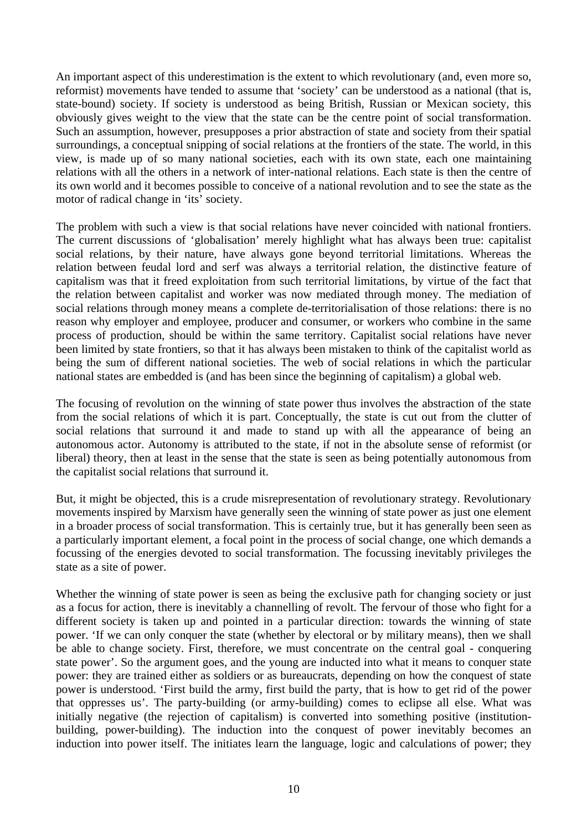An important aspect of this underestimation is the extent to which revolutionary (and, even more so, reformist) movements have tended to assume that 'society' can be understood as a national (that is, state-bound) society. If society is understood as being British, Russian or Mexican society, this obviously gives weight to the view that the state can be the centre point of social transformation. Such an assumption, however, presupposes a prior abstraction of state and society from their spatial surroundings, a conceptual snipping of social relations at the frontiers of the state. The world, in this view, is made up of so many national societies, each with its own state, each one maintaining relations with all the others in a network of inter-national relations. Each state is then the centre of its own world and it becomes possible to conceive of a national revolution and to see the state as the motor of radical change in 'its' society.

The problem with such a view is that social relations have never coincided with national frontiers. The current discussions of 'globalisation' merely highlight what has always been true: capitalist social relations, by their nature, have always gone beyond territorial limitations. Whereas the relation between feudal lord and serf was always a territorial relation, the distinctive feature of capitalism was that it freed exploitation from such territorial limitations, by virtue of the fact that the relation between capitalist and worker was now mediated through money. The mediation of social relations through money means a complete de-territorialisation of those relations: there is no reason why employer and employee, producer and consumer, or workers who combine in the same process of production, should be within the same territory. Capitalist social relations have never been limited by state frontiers, so that it has always been mistaken to think of the capitalist world as being the sum of different national societies. The web of social relations in which the particular national states are embedded is (and has been since the beginning of capitalism) a global web.

The focusing of revolution on the winning of state power thus involves the abstraction of the state from the social relations of which it is part. Conceptually, the state is cut out from the clutter of social relations that surround it and made to stand up with all the appearance of being an autonomous actor. Autonomy is attributed to the state, if not in the absolute sense of reformist (or liberal) theory, then at least in the sense that the state is seen as being potentially autonomous from the capitalist social relations that surround it.

But, it might be objected, this is a crude misrepresentation of revolutionary strategy. Revolutionary movements inspired by Marxism have generally seen the winning of state power as just one element in a broader process of social transformation. This is certainly true, but it has generally been seen as a particularly important element, a focal point in the process of social change, one which demands a focussing of the energies devoted to social transformation. The focussing inevitably privileges the state as a site of power.

Whether the winning of state power is seen as being the exclusive path for changing society or just as a focus for action, there is inevitably a channelling of revolt. The fervour of those who fight for a different society is taken up and pointed in a particular direction: towards the winning of state power. 'If we can only conquer the state (whether by electoral or by military means), then we shall be able to change society. First, therefore, we must concentrate on the central goal - conquering state power'. So the argument goes, and the young are inducted into what it means to conquer state power: they are trained either as soldiers or as bureaucrats, depending on how the conquest of state power is understood. 'First build the army, first build the party, that is how to get rid of the power that oppresses us'. The party-building (or army-building) comes to eclipse all else. What was initially negative (the rejection of capitalism) is converted into something positive (institutionbuilding, power-building). The induction into the conquest of power inevitably becomes an induction into power itself. The initiates learn the language, logic and calculations of power; they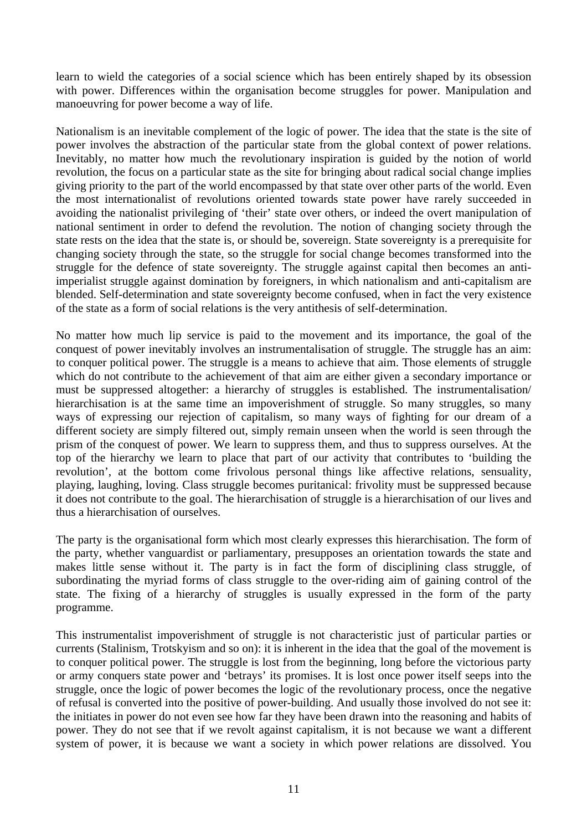learn to wield the categories of a social science which has been entirely shaped by its obsession with power. Differences within the organisation become struggles for power. Manipulation and manoeuvring for power become a way of life.

Nationalism is an inevitable complement of the logic of power. The idea that the state is the site of power involves the abstraction of the particular state from the global context of power relations. Inevitably, no matter how much the revolutionary inspiration is guided by the notion of world revolution, the focus on a particular state as the site for bringing about radical social change implies giving priority to the part of the world encompassed by that state over other parts of the world. Even the most internationalist of revolutions oriented towards state power have rarely succeeded in avoiding the nationalist privileging of 'their' state over others, or indeed the overt manipulation of national sentiment in order to defend the revolution. The notion of changing society through the state rests on the idea that the state is, or should be, sovereign. State sovereignty is a prerequisite for changing society through the state, so the struggle for social change becomes transformed into the struggle for the defence of state sovereignty. The struggle against capital then becomes an antiimperialist struggle against domination by foreigners, in which nationalism and anti-capitalism are blended. Self-determination and state sovereignty become confused, when in fact the very existence of the state as a form of social relations is the very antithesis of self-determination.

No matter how much lip service is paid to the movement and its importance, the goal of the conquest of power inevitably involves an instrumentalisation of struggle. The struggle has an aim: to conquer political power. The struggle is a means to achieve that aim. Those elements of struggle which do not contribute to the achievement of that aim are either given a secondary importance or must be suppressed altogether: a hierarchy of struggles is established. The instrumentalisation/ hierarchisation is at the same time an impoverishment of struggle. So many struggles, so many ways of expressing our rejection of capitalism, so many ways of fighting for our dream of a different society are simply filtered out, simply remain unseen when the world is seen through the prism of the conquest of power. We learn to suppress them, and thus to suppress ourselves. At the top of the hierarchy we learn to place that part of our activity that contributes to 'building the revolution', at the bottom come frivolous personal things like affective relations, sensuality, playing, laughing, loving. Class struggle becomes puritanical: frivolity must be suppressed because it does not contribute to the goal. The hierarchisation of struggle is a hierarchisation of our lives and thus a hierarchisation of ourselves.

The party is the organisational form which most clearly expresses this hierarchisation. The form of the party, whether vanguardist or parliamentary, presupposes an orientation towards the state and makes little sense without it. The party is in fact the form of disciplining class struggle, of subordinating the myriad forms of class struggle to the over-riding aim of gaining control of the state. The fixing of a hierarchy of struggles is usually expressed in the form of the party programme.

This instrumentalist impoverishment of struggle is not characteristic just of particular parties or currents (Stalinism, Trotskyism and so on): it is inherent in the idea that the goal of the movement is to conquer political power. The struggle is lost from the beginning, long before the victorious party or army conquers state power and 'betrays' its promises. It is lost once power itself seeps into the struggle, once the logic of power becomes the logic of the revolutionary process, once the negative of refusal is converted into the positive of power-building. And usually those involved do not see it: the initiates in power do not even see how far they have been drawn into the reasoning and habits of power. They do not see that if we revolt against capitalism, it is not because we want a different system of power, it is because we want a society in which power relations are dissolved. You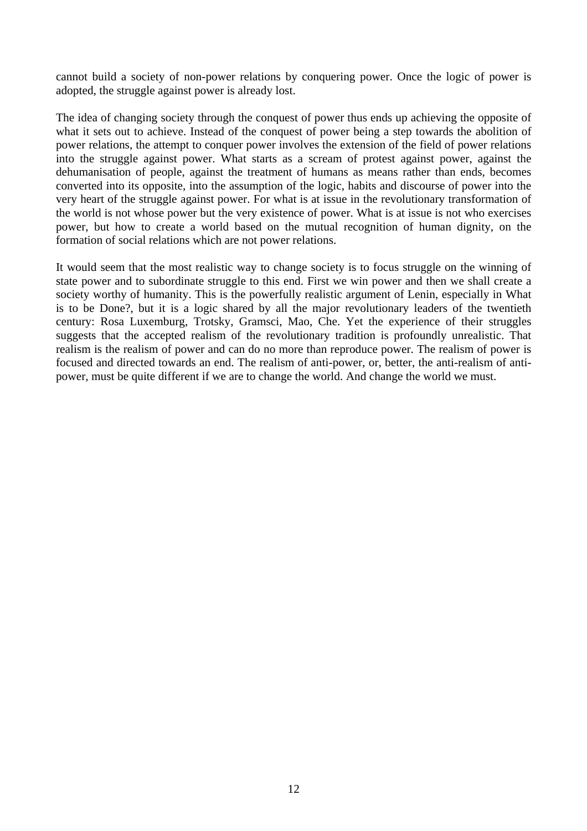cannot build a society of non-power relations by conquering power. Once the logic of power is adopted, the struggle against power is already lost.

The idea of changing society through the conquest of power thus ends up achieving the opposite of what it sets out to achieve. Instead of the conquest of power being a step towards the abolition of power relations, the attempt to conquer power involves the extension of the field of power relations into the struggle against power. What starts as a scream of protest against power, against the dehumanisation of people, against the treatment of humans as means rather than ends, becomes converted into its opposite, into the assumption of the logic, habits and discourse of power into the very heart of the struggle against power. For what is at issue in the revolutionary transformation of the world is not whose power but the very existence of power. What is at issue is not who exercises power, but how to create a world based on the mutual recognition of human dignity, on the formation of social relations which are not power relations.

It would seem that the most realistic way to change society is to focus struggle on the winning of state power and to subordinate struggle to this end. First we win power and then we shall create a society worthy of humanity. This is the powerfully realistic argument of Lenin, especially in What is to be Done?, but it is a logic shared by all the major revolutionary leaders of the twentieth century: Rosa Luxemburg, Trotsky, Gramsci, Mao, Che. Yet the experience of their struggles suggests that the accepted realism of the revolutionary tradition is profoundly unrealistic. That realism is the realism of power and can do no more than reproduce power. The realism of power is focused and directed towards an end. The realism of anti-power, or, better, the anti-realism of antipower, must be quite different if we are to change the world. And change the world we must.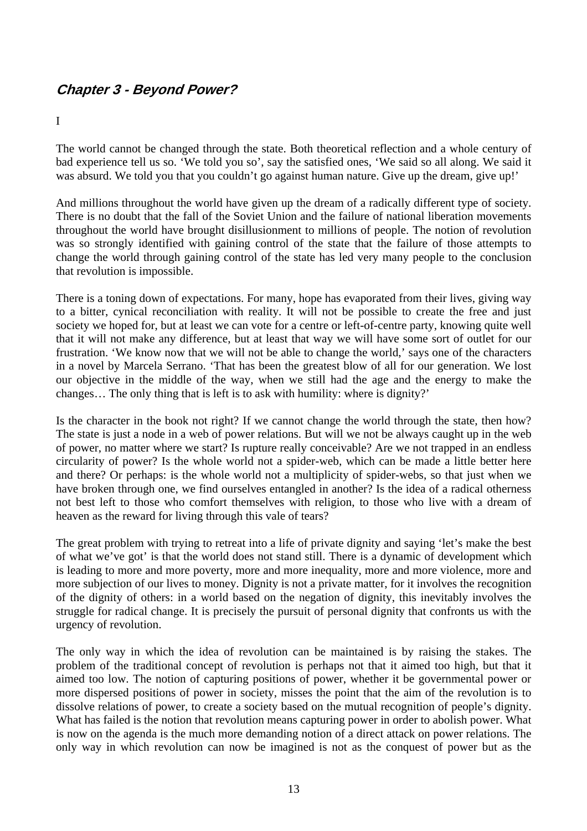# **Chapter 3 - Beyond Power?**

## I

The world cannot be changed through the state. Both theoretical reflection and a whole century of bad experience tell us so. 'We told you so', say the satisfied ones, 'We said so all along. We said it was absurd. We told you that you couldn't go against human nature. Give up the dream, give up!'

And millions throughout the world have given up the dream of a radically different type of society. There is no doubt that the fall of the Soviet Union and the failure of national liberation movements throughout the world have brought disillusionment to millions of people. The notion of revolution was so strongly identified with gaining control of the state that the failure of those attempts to change the world through gaining control of the state has led very many people to the conclusion that revolution is impossible.

There is a toning down of expectations. For many, hope has evaporated from their lives, giving way to a bitter, cynical reconciliation with reality. It will not be possible to create the free and just society we hoped for, but at least we can vote for a centre or left-of-centre party, knowing quite well that it will not make any difference, but at least that way we will have some sort of outlet for our frustration. 'We know now that we will not be able to change the world,' says one of the characters in a novel by Marcela Serrano. 'That has been the greatest blow of all for our generation. We lost our objective in the middle of the way, when we still had the age and the energy to make the changes… The only thing that is left is to ask with humility: where is dignity?'

Is the character in the book not right? If we cannot change the world through the state, then how? The state is just a node in a web of power relations. But will we not be always caught up in the web of power, no matter where we start? Is rupture really conceivable? Are we not trapped in an endless circularity of power? Is the whole world not a spider-web, which can be made a little better here and there? Or perhaps: is the whole world not a multiplicity of spider-webs, so that just when we have broken through one, we find ourselves entangled in another? Is the idea of a radical otherness not best left to those who comfort themselves with religion, to those who live with a dream of heaven as the reward for living through this vale of tears?

The great problem with trying to retreat into a life of private dignity and saying 'let's make the best of what we've got' is that the world does not stand still. There is a dynamic of development which is leading to more and more poverty, more and more inequality, more and more violence, more and more subjection of our lives to money. Dignity is not a private matter, for it involves the recognition of the dignity of others: in a world based on the negation of dignity, this inevitably involves the struggle for radical change. It is precisely the pursuit of personal dignity that confronts us with the urgency of revolution.

The only way in which the idea of revolution can be maintained is by raising the stakes. The problem of the traditional concept of revolution is perhaps not that it aimed too high, but that it aimed too low. The notion of capturing positions of power, whether it be governmental power or more dispersed positions of power in society, misses the point that the aim of the revolution is to dissolve relations of power, to create a society based on the mutual recognition of people's dignity. What has failed is the notion that revolution means capturing power in order to abolish power. What is now on the agenda is the much more demanding notion of a direct attack on power relations. The only way in which revolution can now be imagined is not as the conquest of power but as the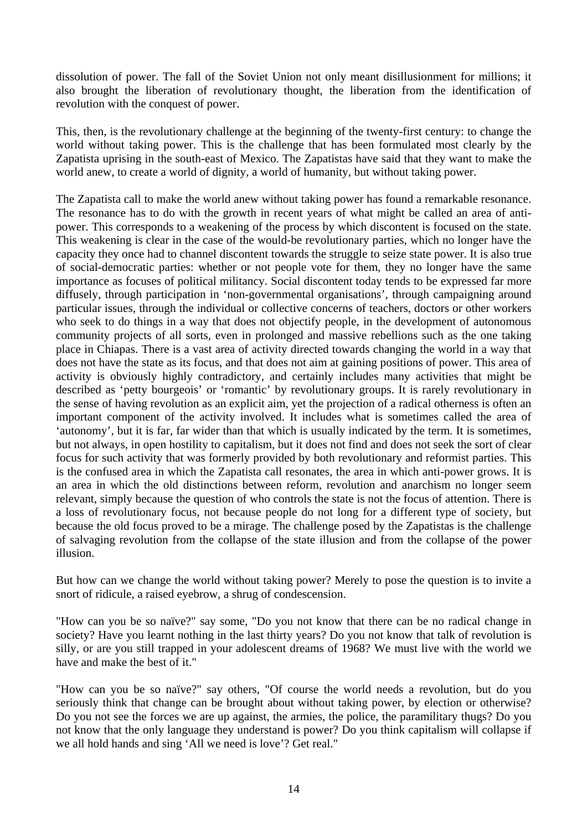dissolution of power. The fall of the Soviet Union not only meant disillusionment for millions; it also brought the liberation of revolutionary thought, the liberation from the identification of revolution with the conquest of power.

This, then, is the revolutionary challenge at the beginning of the twenty-first century: to change the world without taking power. This is the challenge that has been formulated most clearly by the Zapatista uprising in the south-east of Mexico. The Zapatistas have said that they want to make the world anew, to create a world of dignity, a world of humanity, but without taking power.

The Zapatista call to make the world anew without taking power has found a remarkable resonance. The resonance has to do with the growth in recent years of what might be called an area of antipower. This corresponds to a weakening of the process by which discontent is focused on the state. This weakening is clear in the case of the would-be revolutionary parties, which no longer have the capacity they once had to channel discontent towards the struggle to seize state power. It is also true of social-democratic parties: whether or not people vote for them, they no longer have the same importance as focuses of political militancy. Social discontent today tends to be expressed far more diffusely, through participation in 'non-governmental organisations', through campaigning around particular issues, through the individual or collective concerns of teachers, doctors or other workers who seek to do things in a way that does not objectify people, in the development of autonomous community projects of all sorts, even in prolonged and massive rebellions such as the one taking place in Chiapas. There is a vast area of activity directed towards changing the world in a way that does not have the state as its focus, and that does not aim at gaining positions of power. This area of activity is obviously highly contradictory, and certainly includes many activities that might be described as 'petty bourgeois' or 'romantic' by revolutionary groups. It is rarely revolutionary in the sense of having revolution as an explicit aim, yet the projection of a radical otherness is often an important component of the activity involved. It includes what is sometimes called the area of 'autonomy', but it is far, far wider than that which is usually indicated by the term. It is sometimes, but not always, in open hostility to capitalism, but it does not find and does not seek the sort of clear focus for such activity that was formerly provided by both revolutionary and reformist parties. This is the confused area in which the Zapatista call resonates, the area in which anti-power grows. It is an area in which the old distinctions between reform, revolution and anarchism no longer seem relevant, simply because the question of who controls the state is not the focus of attention. There is a loss of revolutionary focus, not because people do not long for a different type of society, but because the old focus proved to be a mirage. The challenge posed by the Zapatistas is the challenge of salvaging revolution from the collapse of the state illusion and from the collapse of the power illusion.

But how can we change the world without taking power? Merely to pose the question is to invite a snort of ridicule, a raised eyebrow, a shrug of condescension.

"How can you be so naïve?" say some, "Do you not know that there can be no radical change in society? Have you learnt nothing in the last thirty years? Do you not know that talk of revolution is silly, or are you still trapped in your adolescent dreams of 1968? We must live with the world we have and make the best of it."

"How can you be so naïve?" say others, "Of course the world needs a revolution, but do you seriously think that change can be brought about without taking power, by election or otherwise? Do you not see the forces we are up against, the armies, the police, the paramilitary thugs? Do you not know that the only language they understand is power? Do you think capitalism will collapse if we all hold hands and sing 'All we need is love'? Get real."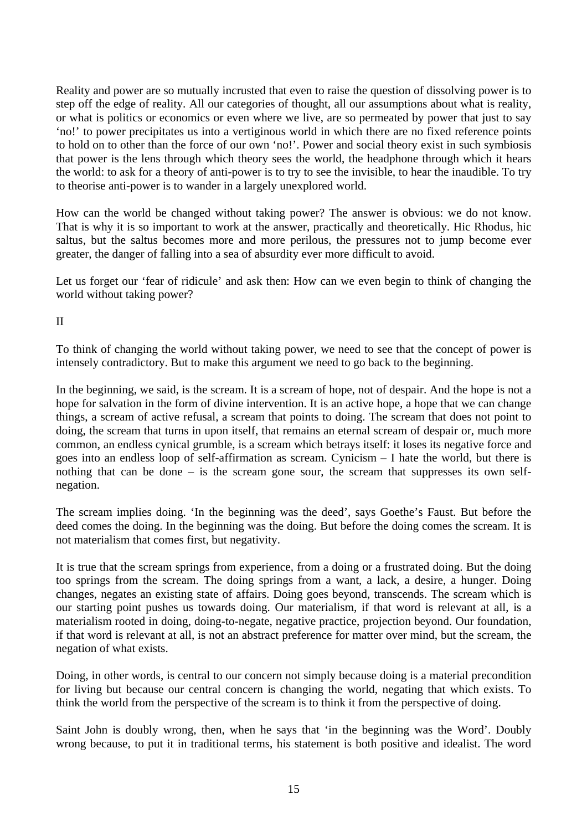Reality and power are so mutually incrusted that even to raise the question of dissolving power is to step off the edge of reality. All our categories of thought, all our assumptions about what is reality, or what is politics or economics or even where we live, are so permeated by power that just to say 'no!' to power precipitates us into a vertiginous world in which there are no fixed reference points to hold on to other than the force of our own 'no!'. Power and social theory exist in such symbiosis that power is the lens through which theory sees the world, the headphone through which it hears the world: to ask for a theory of anti-power is to try to see the invisible, to hear the inaudible. To try to theorise anti-power is to wander in a largely unexplored world.

How can the world be changed without taking power? The answer is obvious: we do not know. That is why it is so important to work at the answer, practically and theoretically. Hic Rhodus, hic saltus, but the saltus becomes more and more perilous, the pressures not to jump become ever greater, the danger of falling into a sea of absurdity ever more difficult to avoid.

Let us forget our 'fear of ridicule' and ask then: How can we even begin to think of changing the world without taking power?

# II

To think of changing the world without taking power, we need to see that the concept of power is intensely contradictory. But to make this argument we need to go back to the beginning.

In the beginning, we said, is the scream. It is a scream of hope, not of despair. And the hope is not a hope for salvation in the form of divine intervention. It is an active hope, a hope that we can change things, a scream of active refusal, a scream that points to doing. The scream that does not point to doing, the scream that turns in upon itself, that remains an eternal scream of despair or, much more common, an endless cynical grumble, is a scream which betrays itself: it loses its negative force and goes into an endless loop of self-affirmation as scream. Cynicism – I hate the world, but there is nothing that can be done – is the scream gone sour, the scream that suppresses its own selfnegation.

The scream implies doing. 'In the beginning was the deed', says Goethe's Faust. But before the deed comes the doing. In the beginning was the doing. But before the doing comes the scream. It is not materialism that comes first, but negativity.

It is true that the scream springs from experience, from a doing or a frustrated doing. But the doing too springs from the scream. The doing springs from a want, a lack, a desire, a hunger. Doing changes, negates an existing state of affairs. Doing goes beyond, transcends. The scream which is our starting point pushes us towards doing. Our materialism, if that word is relevant at all, is a materialism rooted in doing, doing-to-negate, negative practice, projection beyond. Our foundation, if that word is relevant at all, is not an abstract preference for matter over mind, but the scream, the negation of what exists.

Doing, in other words, is central to our concern not simply because doing is a material precondition for living but because our central concern is changing the world, negating that which exists. To think the world from the perspective of the scream is to think it from the perspective of doing.

Saint John is doubly wrong, then, when he says that 'in the beginning was the Word'. Doubly wrong because, to put it in traditional terms, his statement is both positive and idealist. The word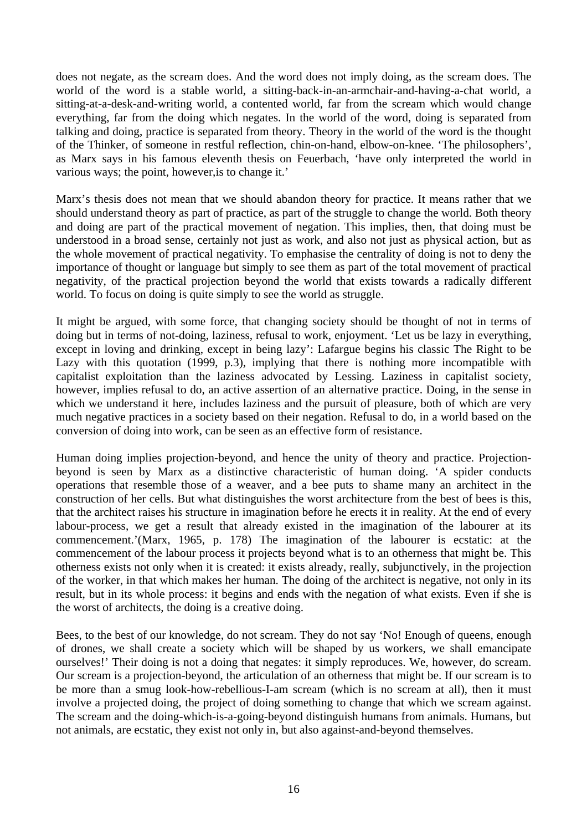does not negate, as the scream does. And the word does not imply doing, as the scream does. The world of the word is a stable world, a sitting-back-in-an-armchair-and-having-a-chat world, a sitting-at-a-desk-and-writing world, a contented world, far from the scream which would change everything, far from the doing which negates. In the world of the word, doing is separated from talking and doing, practice is separated from theory. Theory in the world of the word is the thought of the Thinker, of someone in restful reflection, chin-on-hand, elbow-on-knee. 'The philosophers', as Marx says in his famous eleventh thesis on Feuerbach, 'have only interpreted the world in various ways; the point, however,is to change it.'

Marx's thesis does not mean that we should abandon theory for practice. It means rather that we should understand theory as part of practice, as part of the struggle to change the world. Both theory and doing are part of the practical movement of negation. This implies, then, that doing must be understood in a broad sense, certainly not just as work, and also not just as physical action, but as the whole movement of practical negativity. To emphasise the centrality of doing is not to deny the importance of thought or language but simply to see them as part of the total movement of practical negativity, of the practical projection beyond the world that exists towards a radically different world. To focus on doing is quite simply to see the world as struggle.

It might be argued, with some force, that changing society should be thought of not in terms of doing but in terms of not-doing, laziness, refusal to work, enjoyment. 'Let us be lazy in everything, except in loving and drinking, except in being lazy': Lafargue begins his classic The Right to be Lazy with this quotation (1999, p.3), implying that there is nothing more incompatible with capitalist exploitation than the laziness advocated by Lessing. Laziness in capitalist society, however, implies refusal to do, an active assertion of an alternative practice. Doing, in the sense in which we understand it here, includes laziness and the pursuit of pleasure, both of which are very much negative practices in a society based on their negation. Refusal to do, in a world based on the conversion of doing into work, can be seen as an effective form of resistance.

Human doing implies projection-beyond, and hence the unity of theory and practice. Projectionbeyond is seen by Marx as a distinctive characteristic of human doing. 'A spider conducts operations that resemble those of a weaver, and a bee puts to shame many an architect in the construction of her cells. But what distinguishes the worst architecture from the best of bees is this, that the architect raises his structure in imagination before he erects it in reality. At the end of every labour-process, we get a result that already existed in the imagination of the labourer at its commencement.'(Marx, 1965, p. 178) The imagination of the labourer is ecstatic: at the commencement of the labour process it projects beyond what is to an otherness that might be. This otherness exists not only when it is created: it exists already, really, subjunctively, in the projection of the worker, in that which makes her human. The doing of the architect is negative, not only in its result, but in its whole process: it begins and ends with the negation of what exists. Even if she is the worst of architects, the doing is a creative doing.

Bees, to the best of our knowledge, do not scream. They do not say 'No! Enough of queens, enough of drones, we shall create a society which will be shaped by us workers, we shall emancipate ourselves!' Their doing is not a doing that negates: it simply reproduces. We, however, do scream. Our scream is a projection-beyond, the articulation of an otherness that might be. If our scream is to be more than a smug look-how-rebellious-I-am scream (which is no scream at all), then it must involve a projected doing, the project of doing something to change that which we scream against. The scream and the doing-which-is-a-going-beyond distinguish humans from animals. Humans, but not animals, are ecstatic, they exist not only in, but also against-and-beyond themselves.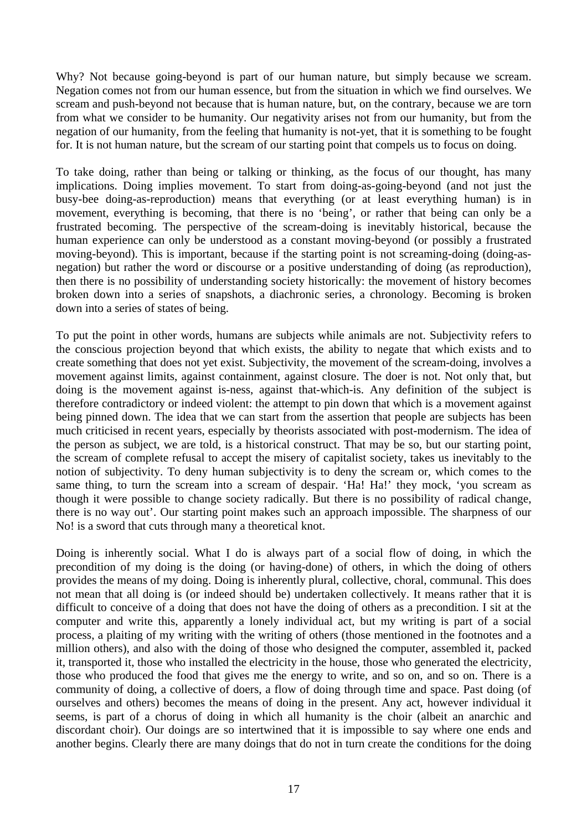Why? Not because going-beyond is part of our human nature, but simply because we scream. Negation comes not from our human essence, but from the situation in which we find ourselves. We scream and push-beyond not because that is human nature, but, on the contrary, because we are torn from what we consider to be humanity. Our negativity arises not from our humanity, but from the negation of our humanity, from the feeling that humanity is not-yet, that it is something to be fought for. It is not human nature, but the scream of our starting point that compels us to focus on doing.

To take doing, rather than being or talking or thinking, as the focus of our thought, has many implications. Doing implies movement. To start from doing-as-going-beyond (and not just the busy-bee doing-as-reproduction) means that everything (or at least everything human) is in movement, everything is becoming, that there is no 'being', or rather that being can only be a frustrated becoming. The perspective of the scream-doing is inevitably historical, because the human experience can only be understood as a constant moving-beyond (or possibly a frustrated moving-beyond). This is important, because if the starting point is not screaming-doing (doing-asnegation) but rather the word or discourse or a positive understanding of doing (as reproduction), then there is no possibility of understanding society historically: the movement of history becomes broken down into a series of snapshots, a diachronic series, a chronology. Becoming is broken down into a series of states of being.

To put the point in other words, humans are subjects while animals are not. Subjectivity refers to the conscious projection beyond that which exists, the ability to negate that which exists and to create something that does not yet exist. Subjectivity, the movement of the scream-doing, involves a movement against limits, against containment, against closure. The doer is not. Not only that, but doing is the movement against is-ness, against that-which-is. Any definition of the subject is therefore contradictory or indeed violent: the attempt to pin down that which is a movement against being pinned down. The idea that we can start from the assertion that people are subjects has been much criticised in recent years, especially by theorists associated with post-modernism. The idea of the person as subject, we are told, is a historical construct. That may be so, but our starting point, the scream of complete refusal to accept the misery of capitalist society, takes us inevitably to the notion of subjectivity. To deny human subjectivity is to deny the scream or, which comes to the same thing, to turn the scream into a scream of despair. 'Ha! Ha!' they mock, 'you scream as though it were possible to change society radically. But there is no possibility of radical change, there is no way out'. Our starting point makes such an approach impossible. The sharpness of our No! is a sword that cuts through many a theoretical knot.

Doing is inherently social. What I do is always part of a social flow of doing, in which the precondition of my doing is the doing (or having-done) of others, in which the doing of others provides the means of my doing. Doing is inherently plural, collective, choral, communal. This does not mean that all doing is (or indeed should be) undertaken collectively. It means rather that it is difficult to conceive of a doing that does not have the doing of others as a precondition. I sit at the computer and write this, apparently a lonely individual act, but my writing is part of a social process, a plaiting of my writing with the writing of others (those mentioned in the footnotes and a million others), and also with the doing of those who designed the computer, assembled it, packed it, transported it, those who installed the electricity in the house, those who generated the electricity, those who produced the food that gives me the energy to write, and so on, and so on. There is a community of doing, a collective of doers, a flow of doing through time and space. Past doing (of ourselves and others) becomes the means of doing in the present. Any act, however individual it seems, is part of a chorus of doing in which all humanity is the choir (albeit an anarchic and discordant choir). Our doings are so intertwined that it is impossible to say where one ends and another begins. Clearly there are many doings that do not in turn create the conditions for the doing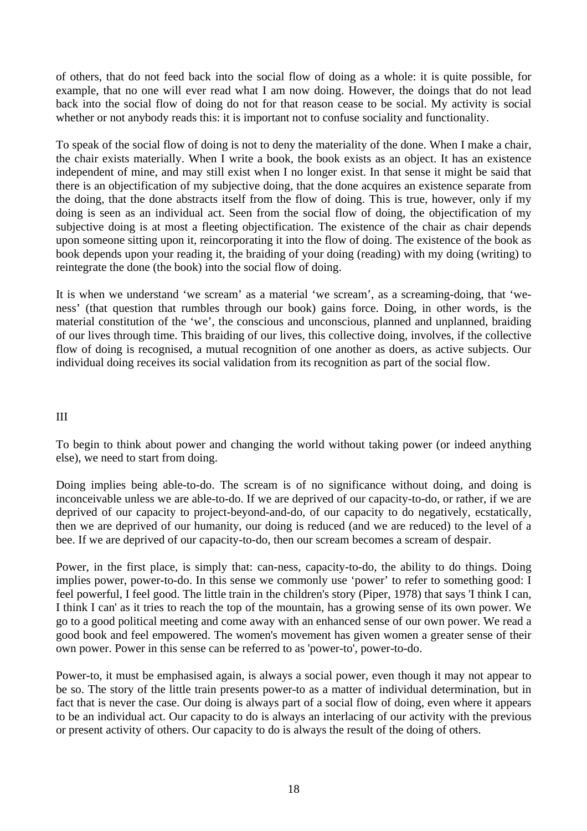of others, that do not feed back into the social flow of doing as a whole: it is quite possible, for example, that no one will ever read what I am now doing. However, the doings that do not lead back into the social flow of doing do not for that reason cease to be social. My activity is social whether or not anybody reads this: it is important not to confuse sociality and functionality.

To speak of the social flow of doing is not to deny the materiality of the done. When I make a chair, the chair exists materially. When I write a book, the book exists as an object. It has an existence independent of mine, and may still exist when I no longer exist. In that sense it might be said that there is an objectification of my subjective doing, that the done acquires an existence separate from the doing, that the done abstracts itself from the flow of doing. This is true, however, only if my doing is seen as an individual act. Seen from the social flow of doing, the objectification of my subjective doing is at most a fleeting objectification. The existence of the chair as chair depends upon someone sitting upon it, reincorporating it into the flow of doing. The existence of the book as book depends upon your reading it, the braiding of your doing (reading) with my doing (writing) to reintegrate the done (the book) into the social flow of doing.

It is when we understand 'we scream' as a material 'we scream', as a screaming-doing, that 'weness' (that question that rumbles through our book) gains force. Doing, in other words, is the material constitution of the 'we', the conscious and unconscious, planned and unplanned, braiding of our lives through time. This braiding of our lives, this collective doing, involves, if the collective flow of doing is recognised, a mutual recognition of one another as doers, as active subjects. Our individual doing receives its social validation from its recognition as part of the social flow.

# III

To begin to think about power and changing the world without taking power (or indeed anything else), we need to start from doing.

Doing implies being able-to-do. The scream is of no significance without doing, and doing is inconceivable unless we are able-to-do. If we are deprived of our capacity-to-do, or rather, if we are deprived of our capacity to project-beyond-and-do, of our capacity to do negatively, ecstatically, then we are deprived of our humanity, our doing is reduced (and we are reduced) to the level of a bee. If we are deprived of our capacity-to-do, then our scream becomes a scream of despair.

Power, in the first place, is simply that: can-ness, capacity-to-do, the ability to do things. Doing implies power, power-to-do. In this sense we commonly use 'power' to refer to something good: I feel powerful, I feel good. The little train in the children's story (Piper, 1978) that says 'I think I can, I think I can' as it tries to reach the top of the mountain, has a growing sense of its own power. We go to a good political meeting and come away with an enhanced sense of our own power. We read a good book and feel empowered. The women's movement has given women a greater sense of their own power. Power in this sense can be referred to as 'power-to', power-to-do.

Power-to, it must be emphasised again, is always a social power, even though it may not appear to be so. The story of the little train presents power-to as a matter of individual determination, but in fact that is never the case. Our doing is always part of a social flow of doing, even where it appears to be an individual act. Our capacity to do is always an interlacing of our activity with the previous or present activity of others. Our capacity to do is always the result of the doing of others.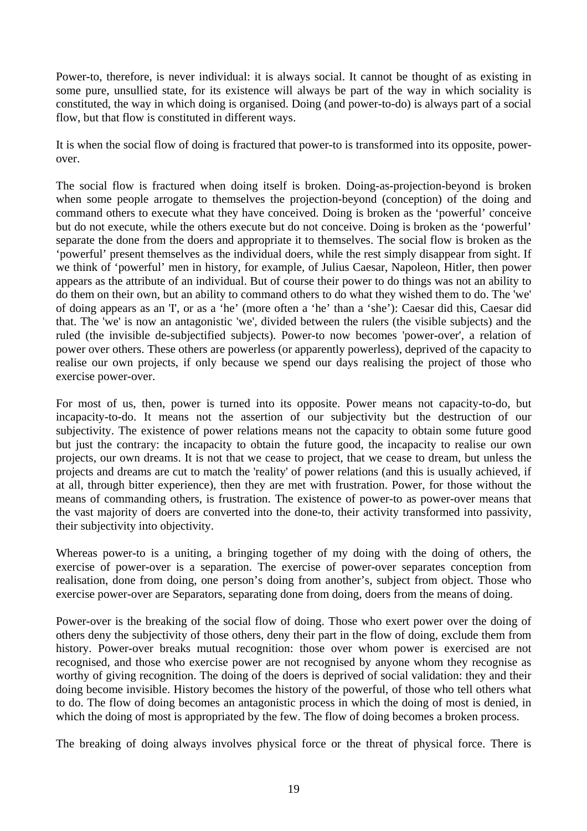Power-to, therefore, is never individual: it is always social. It cannot be thought of as existing in some pure, unsullied state, for its existence will always be part of the way in which sociality is constituted, the way in which doing is organised. Doing (and power-to-do) is always part of a social flow, but that flow is constituted in different ways.

It is when the social flow of doing is fractured that power-to is transformed into its opposite, powerover.

The social flow is fractured when doing itself is broken. Doing-as-projection-beyond is broken when some people arrogate to themselves the projection-beyond (conception) of the doing and command others to execute what they have conceived. Doing is broken as the 'powerful' conceive but do not execute, while the others execute but do not conceive. Doing is broken as the 'powerful' separate the done from the doers and appropriate it to themselves. The social flow is broken as the 'powerful' present themselves as the individual doers, while the rest simply disappear from sight. If we think of 'powerful' men in history, for example, of Julius Caesar, Napoleon, Hitler, then power appears as the attribute of an individual. But of course their power to do things was not an ability to do them on their own, but an ability to command others to do what they wished them to do. The 'we' of doing appears as an 'I', or as a 'he' (more often a 'he' than a 'she'): Caesar did this, Caesar did that. The 'we' is now an antagonistic 'we', divided between the rulers (the visible subjects) and the ruled (the invisible de-subjectified subjects). Power-to now becomes 'power-over', a relation of power over others. These others are powerless (or apparently powerless), deprived of the capacity to realise our own projects, if only because we spend our days realising the project of those who exercise power-over.

For most of us, then, power is turned into its opposite. Power means not capacity-to-do, but incapacity-to-do. It means not the assertion of our subjectivity but the destruction of our subjectivity. The existence of power relations means not the capacity to obtain some future good but just the contrary: the incapacity to obtain the future good, the incapacity to realise our own projects, our own dreams. It is not that we cease to project, that we cease to dream, but unless the projects and dreams are cut to match the 'reality' of power relations (and this is usually achieved, if at all, through bitter experience), then they are met with frustration. Power, for those without the means of commanding others, is frustration. The existence of power-to as power-over means that the vast majority of doers are converted into the done-to, their activity transformed into passivity, their subjectivity into objectivity.

Whereas power-to is a uniting, a bringing together of my doing with the doing of others, the exercise of power-over is a separation. The exercise of power-over separates conception from realisation, done from doing, one person's doing from another's, subject from object. Those who exercise power-over are Separators, separating done from doing, doers from the means of doing.

Power-over is the breaking of the social flow of doing. Those who exert power over the doing of others deny the subjectivity of those others, deny their part in the flow of doing, exclude them from history. Power-over breaks mutual recognition: those over whom power is exercised are not recognised, and those who exercise power are not recognised by anyone whom they recognise as worthy of giving recognition. The doing of the doers is deprived of social validation: they and their doing become invisible. History becomes the history of the powerful, of those who tell others what to do. The flow of doing becomes an antagonistic process in which the doing of most is denied, in which the doing of most is appropriated by the few. The flow of doing becomes a broken process.

The breaking of doing always involves physical force or the threat of physical force. There is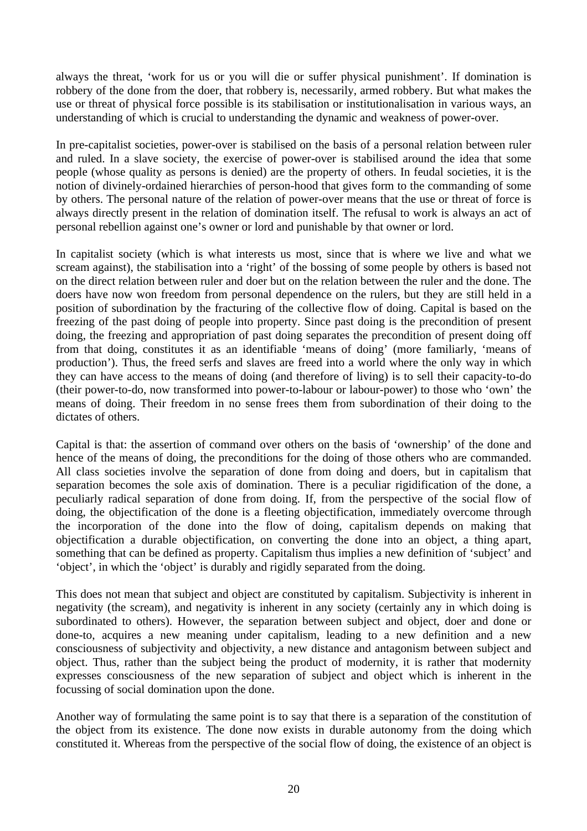always the threat, 'work for us or you will die or suffer physical punishment'. If domination is robbery of the done from the doer, that robbery is, necessarily, armed robbery. But what makes the use or threat of physical force possible is its stabilisation or institutionalisation in various ways, an understanding of which is crucial to understanding the dynamic and weakness of power-over.

In pre-capitalist societies, power-over is stabilised on the basis of a personal relation between ruler and ruled. In a slave society, the exercise of power-over is stabilised around the idea that some people (whose quality as persons is denied) are the property of others. In feudal societies, it is the notion of divinely-ordained hierarchies of person-hood that gives form to the commanding of some by others. The personal nature of the relation of power-over means that the use or threat of force is always directly present in the relation of domination itself. The refusal to work is always an act of personal rebellion against one's owner or lord and punishable by that owner or lord.

In capitalist society (which is what interests us most, since that is where we live and what we scream against), the stabilisation into a 'right' of the bossing of some people by others is based not on the direct relation between ruler and doer but on the relation between the ruler and the done. The doers have now won freedom from personal dependence on the rulers, but they are still held in a position of subordination by the fracturing of the collective flow of doing. Capital is based on the freezing of the past doing of people into property. Since past doing is the precondition of present doing, the freezing and appropriation of past doing separates the precondition of present doing off from that doing, constitutes it as an identifiable 'means of doing' (more familiarly, 'means of production'). Thus, the freed serfs and slaves are freed into a world where the only way in which they can have access to the means of doing (and therefore of living) is to sell their capacity-to-do (their power-to-do, now transformed into power-to-labour or labour-power) to those who 'own' the means of doing. Their freedom in no sense frees them from subordination of their doing to the dictates of others.

Capital is that: the assertion of command over others on the basis of 'ownership' of the done and hence of the means of doing, the preconditions for the doing of those others who are commanded. All class societies involve the separation of done from doing and doers, but in capitalism that separation becomes the sole axis of domination. There is a peculiar rigidification of the done, a peculiarly radical separation of done from doing. If, from the perspective of the social flow of doing, the objectification of the done is a fleeting objectification, immediately overcome through the incorporation of the done into the flow of doing, capitalism depends on making that objectification a durable objectification, on converting the done into an object, a thing apart, something that can be defined as property. Capitalism thus implies a new definition of 'subject' and 'object', in which the 'object' is durably and rigidly separated from the doing.

This does not mean that subject and object are constituted by capitalism. Subjectivity is inherent in negativity (the scream), and negativity is inherent in any society (certainly any in which doing is subordinated to others). However, the separation between subject and object, doer and done or done-to, acquires a new meaning under capitalism, leading to a new definition and a new consciousness of subjectivity and objectivity, a new distance and antagonism between subject and object. Thus, rather than the subject being the product of modernity, it is rather that modernity expresses consciousness of the new separation of subject and object which is inherent in the focussing of social domination upon the done.

Another way of formulating the same point is to say that there is a separation of the constitution of the object from its existence. The done now exists in durable autonomy from the doing which constituted it. Whereas from the perspective of the social flow of doing, the existence of an object is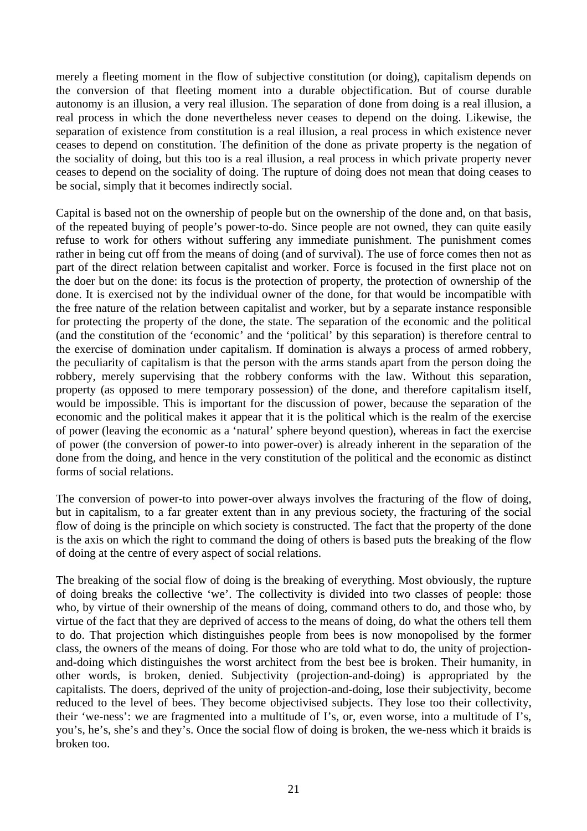merely a fleeting moment in the flow of subjective constitution (or doing), capitalism depends on the conversion of that fleeting moment into a durable objectification. But of course durable autonomy is an illusion, a very real illusion. The separation of done from doing is a real illusion, a real process in which the done nevertheless never ceases to depend on the doing. Likewise, the separation of existence from constitution is a real illusion, a real process in which existence never ceases to depend on constitution. The definition of the done as private property is the negation of the sociality of doing, but this too is a real illusion, a real process in which private property never ceases to depend on the sociality of doing. The rupture of doing does not mean that doing ceases to be social, simply that it becomes indirectly social.

Capital is based not on the ownership of people but on the ownership of the done and, on that basis, of the repeated buying of people's power-to-do. Since people are not owned, they can quite easily refuse to work for others without suffering any immediate punishment. The punishment comes rather in being cut off from the means of doing (and of survival). The use of force comes then not as part of the direct relation between capitalist and worker. Force is focused in the first place not on the doer but on the done: its focus is the protection of property, the protection of ownership of the done. It is exercised not by the individual owner of the done, for that would be incompatible with the free nature of the relation between capitalist and worker, but by a separate instance responsible for protecting the property of the done, the state. The separation of the economic and the political (and the constitution of the 'economic' and the 'political' by this separation) is therefore central to the exercise of domination under capitalism. If domination is always a process of armed robbery, the peculiarity of capitalism is that the person with the arms stands apart from the person doing the robbery, merely supervising that the robbery conforms with the law. Without this separation, property (as opposed to mere temporary possession) of the done, and therefore capitalism itself, would be impossible. This is important for the discussion of power, because the separation of the economic and the political makes it appear that it is the political which is the realm of the exercise of power (leaving the economic as a 'natural' sphere beyond question), whereas in fact the exercise of power (the conversion of power-to into power-over) is already inherent in the separation of the done from the doing, and hence in the very constitution of the political and the economic as distinct forms of social relations.

The conversion of power-to into power-over always involves the fracturing of the flow of doing, but in capitalism, to a far greater extent than in any previous society, the fracturing of the social flow of doing is the principle on which society is constructed. The fact that the property of the done is the axis on which the right to command the doing of others is based puts the breaking of the flow of doing at the centre of every aspect of social relations.

The breaking of the social flow of doing is the breaking of everything. Most obviously, the rupture of doing breaks the collective 'we'. The collectivity is divided into two classes of people: those who, by virtue of their ownership of the means of doing, command others to do, and those who, by virtue of the fact that they are deprived of access to the means of doing, do what the others tell them to do. That projection which distinguishes people from bees is now monopolised by the former class, the owners of the means of doing. For those who are told what to do, the unity of projectionand-doing which distinguishes the worst architect from the best bee is broken. Their humanity, in other words, is broken, denied. Subjectivity (projection-and-doing) is appropriated by the capitalists. The doers, deprived of the unity of projection-and-doing, lose their subjectivity, become reduced to the level of bees. They become objectivised subjects. They lose too their collectivity, their 'we-ness': we are fragmented into a multitude of I's, or, even worse, into a multitude of I's, you's, he's, she's and they's. Once the social flow of doing is broken, the we-ness which it braids is broken too.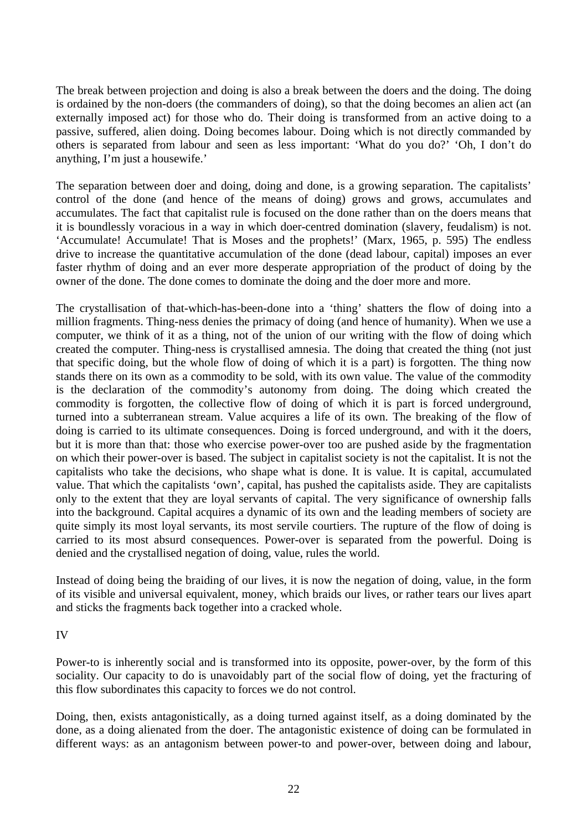The break between projection and doing is also a break between the doers and the doing. The doing is ordained by the non-doers (the commanders of doing), so that the doing becomes an alien act (an externally imposed act) for those who do. Their doing is transformed from an active doing to a passive, suffered, alien doing. Doing becomes labour. Doing which is not directly commanded by others is separated from labour and seen as less important: 'What do you do?' 'Oh, I don't do anything, I'm just a housewife.'

The separation between doer and doing, doing and done, is a growing separation. The capitalists' control of the done (and hence of the means of doing) grows and grows, accumulates and accumulates. The fact that capitalist rule is focused on the done rather than on the doers means that it is boundlessly voracious in a way in which doer-centred domination (slavery, feudalism) is not. 'Accumulate! Accumulate! That is Moses and the prophets!' (Marx, 1965, p. 595) The endless drive to increase the quantitative accumulation of the done (dead labour, capital) imposes an ever faster rhythm of doing and an ever more desperate appropriation of the product of doing by the owner of the done. The done comes to dominate the doing and the doer more and more.

The crystallisation of that-which-has-been-done into a 'thing' shatters the flow of doing into a million fragments. Thing-ness denies the primacy of doing (and hence of humanity). When we use a computer, we think of it as a thing, not of the union of our writing with the flow of doing which created the computer. Thing-ness is crystallised amnesia. The doing that created the thing (not just that specific doing, but the whole flow of doing of which it is a part) is forgotten. The thing now stands there on its own as a commodity to be sold, with its own value. The value of the commodity is the declaration of the commodity's autonomy from doing. The doing which created the commodity is forgotten, the collective flow of doing of which it is part is forced underground, turned into a subterranean stream. Value acquires a life of its own. The breaking of the flow of doing is carried to its ultimate consequences. Doing is forced underground, and with it the doers, but it is more than that: those who exercise power-over too are pushed aside by the fragmentation on which their power-over is based. The subject in capitalist society is not the capitalist. It is not the capitalists who take the decisions, who shape what is done. It is value. It is capital, accumulated value. That which the capitalists 'own', capital, has pushed the capitalists aside. They are capitalists only to the extent that they are loyal servants of capital. The very significance of ownership falls into the background. Capital acquires a dynamic of its own and the leading members of society are quite simply its most loyal servants, its most servile courtiers. The rupture of the flow of doing is carried to its most absurd consequences. Power-over is separated from the powerful. Doing is denied and the crystallised negation of doing, value, rules the world.

Instead of doing being the braiding of our lives, it is now the negation of doing, value, in the form of its visible and universal equivalent, money, which braids our lives, or rather tears our lives apart and sticks the fragments back together into a cracked whole.

IV

Power-to is inherently social and is transformed into its opposite, power-over, by the form of this sociality. Our capacity to do is unavoidably part of the social flow of doing, yet the fracturing of this flow subordinates this capacity to forces we do not control.

Doing, then, exists antagonistically, as a doing turned against itself, as a doing dominated by the done, as a doing alienated from the doer. The antagonistic existence of doing can be formulated in different ways: as an antagonism between power-to and power-over, between doing and labour,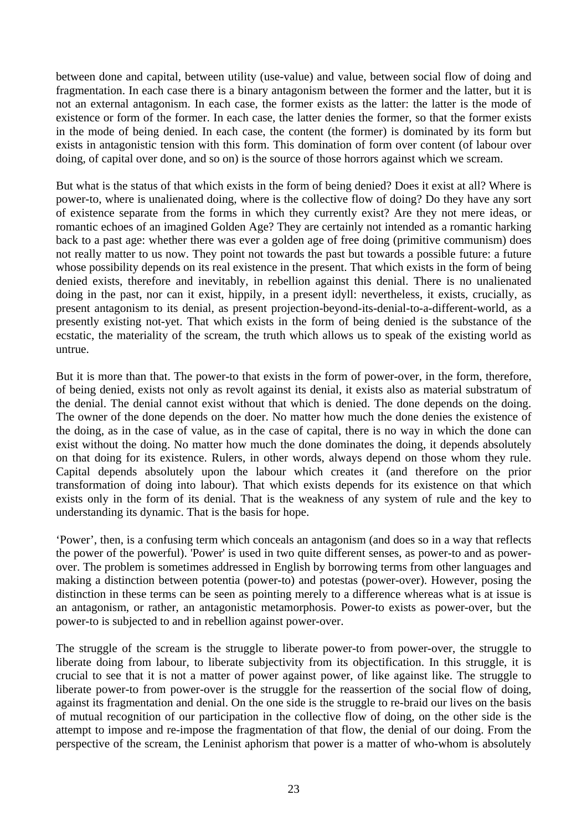between done and capital, between utility (use-value) and value, between social flow of doing and fragmentation. In each case there is a binary antagonism between the former and the latter, but it is not an external antagonism. In each case, the former exists as the latter: the latter is the mode of existence or form of the former. In each case, the latter denies the former, so that the former exists in the mode of being denied. In each case, the content (the former) is dominated by its form but exists in antagonistic tension with this form. This domination of form over content (of labour over doing, of capital over done, and so on) is the source of those horrors against which we scream.

But what is the status of that which exists in the form of being denied? Does it exist at all? Where is power-to, where is unalienated doing, where is the collective flow of doing? Do they have any sort of existence separate from the forms in which they currently exist? Are they not mere ideas, or romantic echoes of an imagined Golden Age? They are certainly not intended as a romantic harking back to a past age: whether there was ever a golden age of free doing (primitive communism) does not really matter to us now. They point not towards the past but towards a possible future: a future whose possibility depends on its real existence in the present. That which exists in the form of being denied exists, therefore and inevitably, in rebellion against this denial. There is no unalienated doing in the past, nor can it exist, hippily, in a present idyll: nevertheless, it exists, crucially, as present antagonism to its denial, as present projection-beyond-its-denial-to-a-different-world, as a presently existing not-yet. That which exists in the form of being denied is the substance of the ecstatic, the materiality of the scream, the truth which allows us to speak of the existing world as untrue.

But it is more than that. The power-to that exists in the form of power-over, in the form, therefore, of being denied, exists not only as revolt against its denial, it exists also as material substratum of the denial. The denial cannot exist without that which is denied. The done depends on the doing. The owner of the done depends on the doer. No matter how much the done denies the existence of the doing, as in the case of value, as in the case of capital, there is no way in which the done can exist without the doing. No matter how much the done dominates the doing, it depends absolutely on that doing for its existence. Rulers, in other words, always depend on those whom they rule. Capital depends absolutely upon the labour which creates it (and therefore on the prior transformation of doing into labour). That which exists depends for its existence on that which exists only in the form of its denial. That is the weakness of any system of rule and the key to understanding its dynamic. That is the basis for hope.

'Power', then, is a confusing term which conceals an antagonism (and does so in a way that reflects the power of the powerful). 'Power' is used in two quite different senses, as power-to and as powerover. The problem is sometimes addressed in English by borrowing terms from other languages and making a distinction between potentia (power-to) and potestas (power-over). However, posing the distinction in these terms can be seen as pointing merely to a difference whereas what is at issue is an antagonism, or rather, an antagonistic metamorphosis. Power-to exists as power-over, but the power-to is subjected to and in rebellion against power-over.

The struggle of the scream is the struggle to liberate power-to from power-over, the struggle to liberate doing from labour, to liberate subjectivity from its objectification. In this struggle, it is crucial to see that it is not a matter of power against power, of like against like. The struggle to liberate power-to from power-over is the struggle for the reassertion of the social flow of doing, against its fragmentation and denial. On the one side is the struggle to re-braid our lives on the basis of mutual recognition of our participation in the collective flow of doing, on the other side is the attempt to impose and re-impose the fragmentation of that flow, the denial of our doing. From the perspective of the scream, the Leninist aphorism that power is a matter of who-whom is absolutely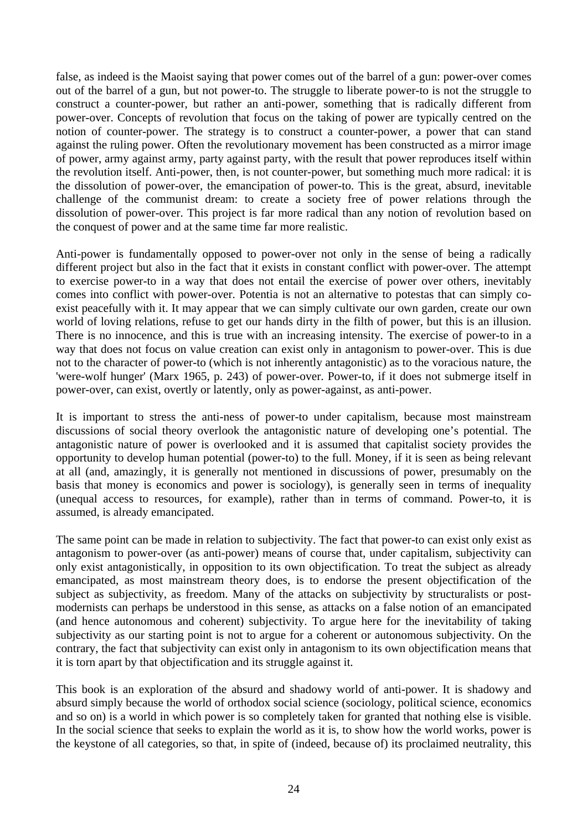false, as indeed is the Maoist saying that power comes out of the barrel of a gun: power-over comes out of the barrel of a gun, but not power-to. The struggle to liberate power-to is not the struggle to construct a counter-power, but rather an anti-power, something that is radically different from power-over. Concepts of revolution that focus on the taking of power are typically centred on the notion of counter-power. The strategy is to construct a counter-power, a power that can stand against the ruling power. Often the revolutionary movement has been constructed as a mirror image of power, army against army, party against party, with the result that power reproduces itself within the revolution itself. Anti-power, then, is not counter-power, but something much more radical: it is the dissolution of power-over, the emancipation of power-to. This is the great, absurd, inevitable challenge of the communist dream: to create a society free of power relations through the dissolution of power-over. This project is far more radical than any notion of revolution based on the conquest of power and at the same time far more realistic.

Anti-power is fundamentally opposed to power-over not only in the sense of being a radically different project but also in the fact that it exists in constant conflict with power-over. The attempt to exercise power-to in a way that does not entail the exercise of power over others, inevitably comes into conflict with power-over. Potentia is not an alternative to potestas that can simply coexist peacefully with it. It may appear that we can simply cultivate our own garden, create our own world of loving relations, refuse to get our hands dirty in the filth of power, but this is an illusion. There is no innocence, and this is true with an increasing intensity. The exercise of power-to in a way that does not focus on value creation can exist only in antagonism to power-over. This is due not to the character of power-to (which is not inherently antagonistic) as to the voracious nature, the 'were-wolf hunger' (Marx 1965, p. 243) of power-over. Power-to, if it does not submerge itself in power-over, can exist, overtly or latently, only as power-against, as anti-power.

It is important to stress the anti-ness of power-to under capitalism, because most mainstream discussions of social theory overlook the antagonistic nature of developing one's potential. The antagonistic nature of power is overlooked and it is assumed that capitalist society provides the opportunity to develop human potential (power-to) to the full. Money, if it is seen as being relevant at all (and, amazingly, it is generally not mentioned in discussions of power, presumably on the basis that money is economics and power is sociology), is generally seen in terms of inequality (unequal access to resources, for example), rather than in terms of command. Power-to, it is assumed, is already emancipated.

The same point can be made in relation to subjectivity. The fact that power-to can exist only exist as antagonism to power-over (as anti-power) means of course that, under capitalism, subjectivity can only exist antagonistically, in opposition to its own objectification. To treat the subject as already emancipated, as most mainstream theory does, is to endorse the present objectification of the subject as subjectivity, as freedom. Many of the attacks on subjectivity by structuralists or postmodernists can perhaps be understood in this sense, as attacks on a false notion of an emancipated (and hence autonomous and coherent) subjectivity. To argue here for the inevitability of taking subjectivity as our starting point is not to argue for a coherent or autonomous subjectivity. On the contrary, the fact that subjectivity can exist only in antagonism to its own objectification means that it is torn apart by that objectification and its struggle against it.

This book is an exploration of the absurd and shadowy world of anti-power. It is shadowy and absurd simply because the world of orthodox social science (sociology, political science, economics and so on) is a world in which power is so completely taken for granted that nothing else is visible. In the social science that seeks to explain the world as it is, to show how the world works, power is the keystone of all categories, so that, in spite of (indeed, because of) its proclaimed neutrality, this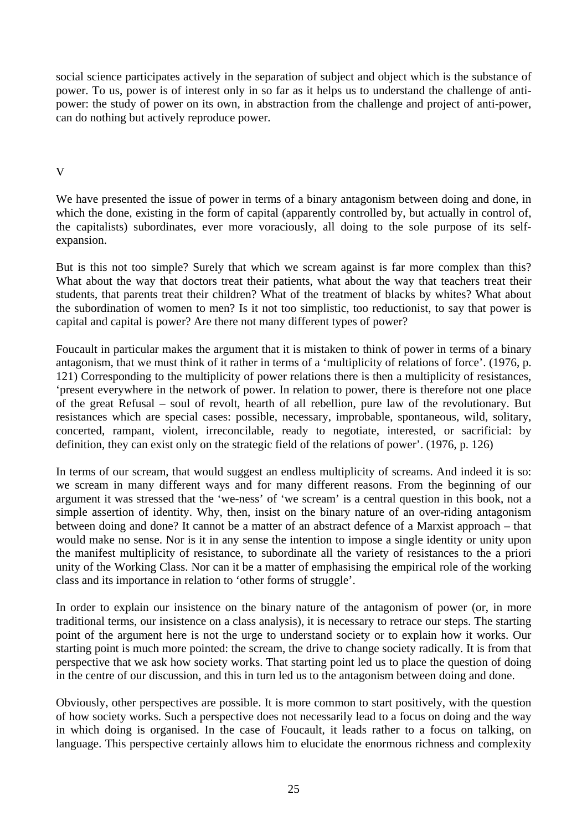social science participates actively in the separation of subject and object which is the substance of power. To us, power is of interest only in so far as it helps us to understand the challenge of antipower: the study of power on its own, in abstraction from the challenge and project of anti-power, can do nothing but actively reproduce power.

## V

We have presented the issue of power in terms of a binary antagonism between doing and done, in which the done, existing in the form of capital (apparently controlled by, but actually in control of, the capitalists) subordinates, ever more voraciously, all doing to the sole purpose of its selfexpansion.

But is this not too simple? Surely that which we scream against is far more complex than this? What about the way that doctors treat their patients, what about the way that teachers treat their students, that parents treat their children? What of the treatment of blacks by whites? What about the subordination of women to men? Is it not too simplistic, too reductionist, to say that power is capital and capital is power? Are there not many different types of power?

Foucault in particular makes the argument that it is mistaken to think of power in terms of a binary antagonism, that we must think of it rather in terms of a 'multiplicity of relations of force'. (1976, p. 121) Corresponding to the multiplicity of power relations there is then a multiplicity of resistances, 'present everywhere in the network of power. In relation to power, there is therefore not one place of the great Refusal – soul of revolt, hearth of all rebellion, pure law of the revolutionary. But resistances which are special cases: possible, necessary, improbable, spontaneous, wild, solitary, concerted, rampant, violent, irreconcilable, ready to negotiate, interested, or sacrificial: by definition, they can exist only on the strategic field of the relations of power'. (1976, p. 126)

In terms of our scream, that would suggest an endless multiplicity of screams. And indeed it is so: we scream in many different ways and for many different reasons. From the beginning of our argument it was stressed that the 'we-ness' of 'we scream' is a central question in this book, not a simple assertion of identity. Why, then, insist on the binary nature of an over-riding antagonism between doing and done? It cannot be a matter of an abstract defence of a Marxist approach – that would make no sense. Nor is it in any sense the intention to impose a single identity or unity upon the manifest multiplicity of resistance, to subordinate all the variety of resistances to the a priori unity of the Working Class. Nor can it be a matter of emphasising the empirical role of the working class and its importance in relation to 'other forms of struggle'.

In order to explain our insistence on the binary nature of the antagonism of power (or, in more traditional terms, our insistence on a class analysis), it is necessary to retrace our steps. The starting point of the argument here is not the urge to understand society or to explain how it works. Our starting point is much more pointed: the scream, the drive to change society radically. It is from that perspective that we ask how society works. That starting point led us to place the question of doing in the centre of our discussion, and this in turn led us to the antagonism between doing and done.

Obviously, other perspectives are possible. It is more common to start positively, with the question of how society works. Such a perspective does not necessarily lead to a focus on doing and the way in which doing is organised. In the case of Foucault, it leads rather to a focus on talking, on language. This perspective certainly allows him to elucidate the enormous richness and complexity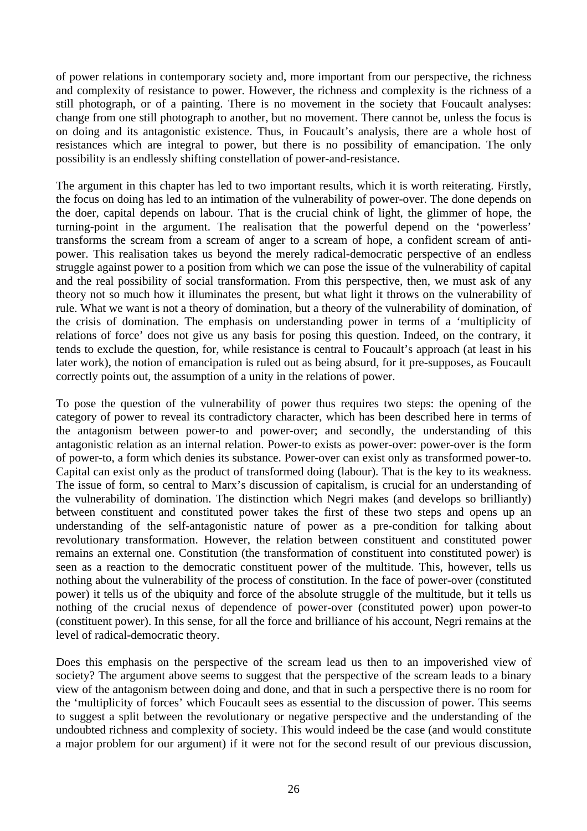of power relations in contemporary society and, more important from our perspective, the richness and complexity of resistance to power. However, the richness and complexity is the richness of a still photograph, or of a painting. There is no movement in the society that Foucault analyses: change from one still photograph to another, but no movement. There cannot be, unless the focus is on doing and its antagonistic existence. Thus, in Foucault's analysis, there are a whole host of resistances which are integral to power, but there is no possibility of emancipation. The only possibility is an endlessly shifting constellation of power-and-resistance.

The argument in this chapter has led to two important results, which it is worth reiterating. Firstly, the focus on doing has led to an intimation of the vulnerability of power-over. The done depends on the doer, capital depends on labour. That is the crucial chink of light, the glimmer of hope, the turning-point in the argument. The realisation that the powerful depend on the 'powerless' transforms the scream from a scream of anger to a scream of hope, a confident scream of antipower. This realisation takes us beyond the merely radical-democratic perspective of an endless struggle against power to a position from which we can pose the issue of the vulnerability of capital and the real possibility of social transformation. From this perspective, then, we must ask of any theory not so much how it illuminates the present, but what light it throws on the vulnerability of rule. What we want is not a theory of domination, but a theory of the vulnerability of domination, of the crisis of domination. The emphasis on understanding power in terms of a 'multiplicity of relations of force' does not give us any basis for posing this question. Indeed, on the contrary, it tends to exclude the question, for, while resistance is central to Foucault's approach (at least in his later work), the notion of emancipation is ruled out as being absurd, for it pre-supposes, as Foucault correctly points out, the assumption of a unity in the relations of power.

To pose the question of the vulnerability of power thus requires two steps: the opening of the category of power to reveal its contradictory character, which has been described here in terms of the antagonism between power-to and power-over; and secondly, the understanding of this antagonistic relation as an internal relation. Power-to exists as power-over: power-over is the form of power-to, a form which denies its substance. Power-over can exist only as transformed power-to. Capital can exist only as the product of transformed doing (labour). That is the key to its weakness. The issue of form, so central to Marx's discussion of capitalism, is crucial for an understanding of the vulnerability of domination. The distinction which Negri makes (and develops so brilliantly) between constituent and constituted power takes the first of these two steps and opens up an understanding of the self-antagonistic nature of power as a pre-condition for talking about revolutionary transformation. However, the relation between constituent and constituted power remains an external one. Constitution (the transformation of constituent into constituted power) is seen as a reaction to the democratic constituent power of the multitude. This, however, tells us nothing about the vulnerability of the process of constitution. In the face of power-over (constituted power) it tells us of the ubiquity and force of the absolute struggle of the multitude, but it tells us nothing of the crucial nexus of dependence of power-over (constituted power) upon power-to (constituent power). In this sense, for all the force and brilliance of his account, Negri remains at the level of radical-democratic theory.

Does this emphasis on the perspective of the scream lead us then to an impoverished view of society? The argument above seems to suggest that the perspective of the scream leads to a binary view of the antagonism between doing and done, and that in such a perspective there is no room for the 'multiplicity of forces' which Foucault sees as essential to the discussion of power. This seems to suggest a split between the revolutionary or negative perspective and the understanding of the undoubted richness and complexity of society. This would indeed be the case (and would constitute a major problem for our argument) if it were not for the second result of our previous discussion,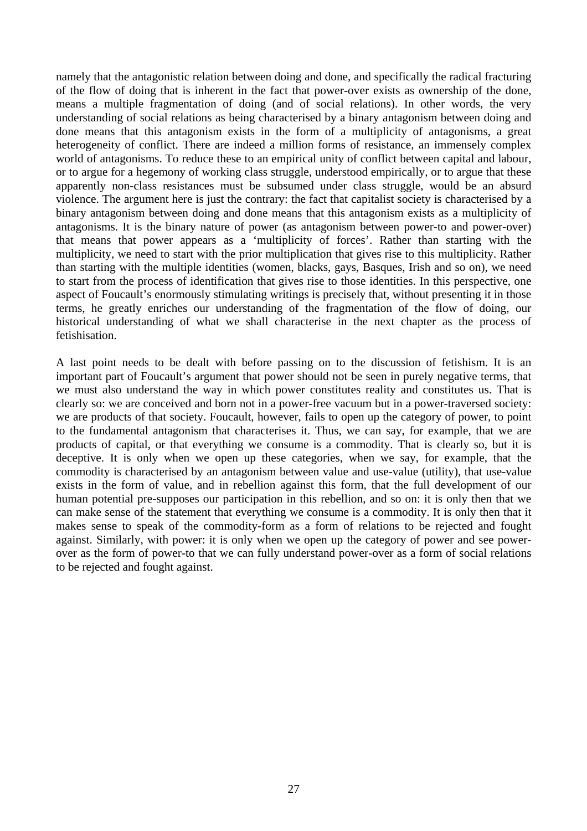namely that the antagonistic relation between doing and done, and specifically the radical fracturing of the flow of doing that is inherent in the fact that power-over exists as ownership of the done, means a multiple fragmentation of doing (and of social relations). In other words, the very understanding of social relations as being characterised by a binary antagonism between doing and done means that this antagonism exists in the form of a multiplicity of antagonisms, a great heterogeneity of conflict. There are indeed a million forms of resistance, an immensely complex world of antagonisms. To reduce these to an empirical unity of conflict between capital and labour, or to argue for a hegemony of working class struggle, understood empirically, or to argue that these apparently non-class resistances must be subsumed under class struggle, would be an absurd violence. The argument here is just the contrary: the fact that capitalist society is characterised by a binary antagonism between doing and done means that this antagonism exists as a multiplicity of antagonisms. It is the binary nature of power (as antagonism between power-to and power-over) that means that power appears as a 'multiplicity of forces'. Rather than starting with the multiplicity, we need to start with the prior multiplication that gives rise to this multiplicity. Rather than starting with the multiple identities (women, blacks, gays, Basques, Irish and so on), we need to start from the process of identification that gives rise to those identities. In this perspective, one aspect of Foucault's enormously stimulating writings is precisely that, without presenting it in those terms, he greatly enriches our understanding of the fragmentation of the flow of doing, our historical understanding of what we shall characterise in the next chapter as the process of fetishisation.

A last point needs to be dealt with before passing on to the discussion of fetishism. It is an important part of Foucault's argument that power should not be seen in purely negative terms, that we must also understand the way in which power constitutes reality and constitutes us. That is clearly so: we are conceived and born not in a power-free vacuum but in a power-traversed society: we are products of that society. Foucault, however, fails to open up the category of power, to point to the fundamental antagonism that characterises it. Thus, we can say, for example, that we are products of capital, or that everything we consume is a commodity. That is clearly so, but it is deceptive. It is only when we open up these categories, when we say, for example, that the commodity is characterised by an antagonism between value and use-value (utility), that use-value exists in the form of value, and in rebellion against this form, that the full development of our human potential pre-supposes our participation in this rebellion, and so on: it is only then that we can make sense of the statement that everything we consume is a commodity. It is only then that it makes sense to speak of the commodity-form as a form of relations to be rejected and fought against. Similarly, with power: it is only when we open up the category of power and see powerover as the form of power-to that we can fully understand power-over as a form of social relations to be rejected and fought against.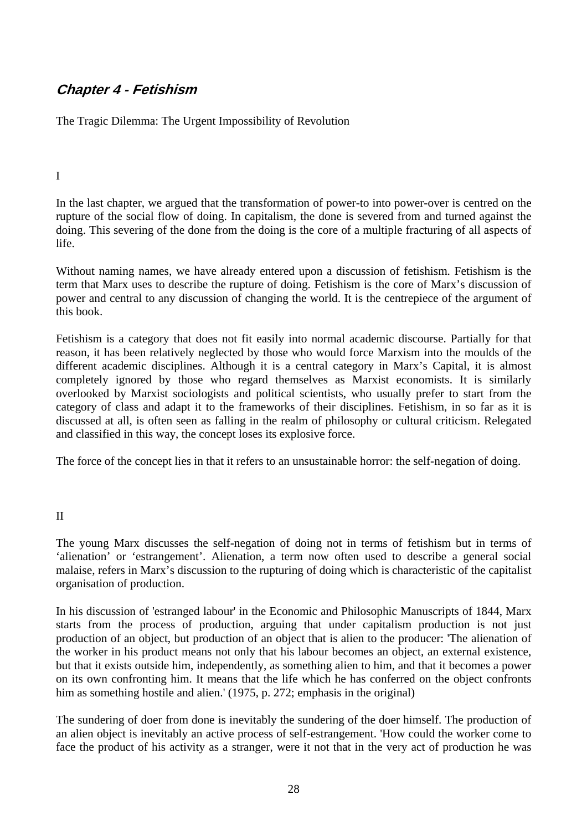# **Chapter 4 - Fetishism**

The Tragic Dilemma: The Urgent Impossibility of Revolution

## I

In the last chapter, we argued that the transformation of power-to into power-over is centred on the rupture of the social flow of doing. In capitalism, the done is severed from and turned against the doing. This severing of the done from the doing is the core of a multiple fracturing of all aspects of life.

Without naming names, we have already entered upon a discussion of fetishism. Fetishism is the term that Marx uses to describe the rupture of doing. Fetishism is the core of Marx's discussion of power and central to any discussion of changing the world. It is the centrepiece of the argument of this book.

Fetishism is a category that does not fit easily into normal academic discourse. Partially for that reason, it has been relatively neglected by those who would force Marxism into the moulds of the different academic disciplines. Although it is a central category in Marx's Capital, it is almost completely ignored by those who regard themselves as Marxist economists. It is similarly overlooked by Marxist sociologists and political scientists, who usually prefer to start from the category of class and adapt it to the frameworks of their disciplines. Fetishism, in so far as it is discussed at all, is often seen as falling in the realm of philosophy or cultural criticism. Relegated and classified in this way, the concept loses its explosive force.

The force of the concept lies in that it refers to an unsustainable horror: the self-negation of doing.

# II

The young Marx discusses the self-negation of doing not in terms of fetishism but in terms of 'alienation' or 'estrangement'. Alienation, a term now often used to describe a general social malaise, refers in Marx's discussion to the rupturing of doing which is characteristic of the capitalist organisation of production.

In his discussion of 'estranged labour' in the Economic and Philosophic Manuscripts of 1844, Marx starts from the process of production, arguing that under capitalism production is not just production of an object, but production of an object that is alien to the producer: 'The alienation of the worker in his product means not only that his labour becomes an object, an external existence, but that it exists outside him, independently, as something alien to him, and that it becomes a power on its own confronting him. It means that the life which he has conferred on the object confronts him as something hostile and alien.' (1975, p. 272; emphasis in the original)

The sundering of doer from done is inevitably the sundering of the doer himself. The production of an alien object is inevitably an active process of self-estrangement. 'How could the worker come to face the product of his activity as a stranger, were it not that in the very act of production he was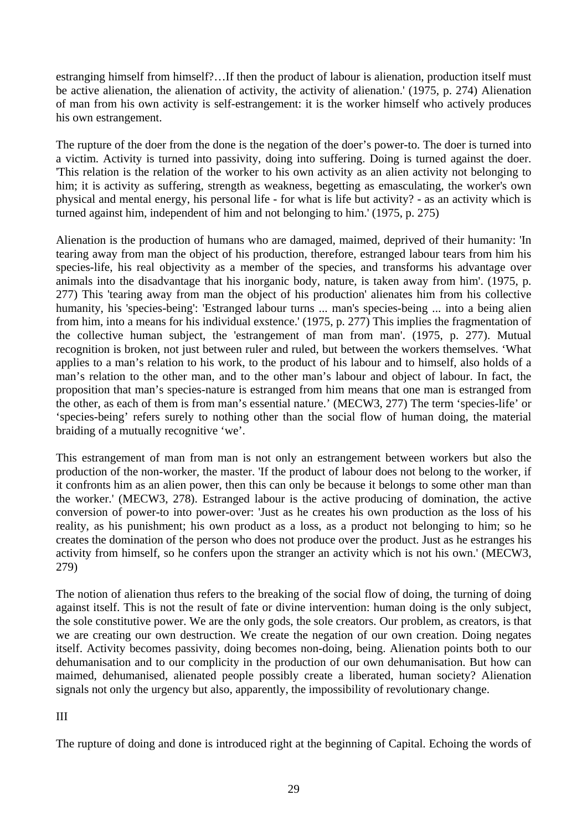estranging himself from himself?...If then the product of labour is alienation, production itself must be active alienation, the alienation of activity, the activity of alienation.' (1975, p. 274) Alienation of man from his own activity is self-estrangement: it is the worker himself who actively produces his own estrangement.

The rupture of the doer from the done is the negation of the doer's power-to. The doer is turned into a victim. Activity is turned into passivity, doing into suffering. Doing is turned against the doer. 'This relation is the relation of the worker to his own activity as an alien activity not belonging to him; it is activity as suffering, strength as weakness, begetting as emasculating, the worker's own physical and mental energy, his personal life - for what is life but activity? - as an activity which is turned against him, independent of him and not belonging to him.' (1975, p. 275)

Alienation is the production of humans who are damaged, maimed, deprived of their humanity: 'In tearing away from man the object of his production, therefore, estranged labour tears from him his species-life, his real objectivity as a member of the species, and transforms his advantage over animals into the disadvantage that his inorganic body, nature, is taken away from him'. (1975, p. 277) This 'tearing away from man the object of his production' alienates him from his collective humanity, his 'species-being': 'Estranged labour turns ... man's species-being ... into a being alien from him, into a means for his individual exstence.' (1975, p. 277) This implies the fragmentation of the collective human subject, the 'estrangement of man from man'. (1975, p. 277). Mutual recognition is broken, not just between ruler and ruled, but between the workers themselves. 'What applies to a man's relation to his work, to the product of his labour and to himself, also holds of a man's relation to the other man, and to the other man's labour and object of labour. In fact, the proposition that man's species-nature is estranged from him means that one man is estranged from the other, as each of them is from man's essential nature.' (MECW3, 277) The term 'species-life' or 'species-being' refers surely to nothing other than the social flow of human doing, the material braiding of a mutually recognitive 'we'.

This estrangement of man from man is not only an estrangement between workers but also the production of the non-worker, the master. 'If the product of labour does not belong to the worker, if it confronts him as an alien power, then this can only be because it belongs to some other man than the worker.' (MECW3, 278). Estranged labour is the active producing of domination, the active conversion of power-to into power-over: 'Just as he creates his own production as the loss of his reality, as his punishment; his own product as a loss, as a product not belonging to him; so he creates the domination of the person who does not produce over the product. Just as he estranges his activity from himself, so he confers upon the stranger an activity which is not his own.' (MECW3, 279)

The notion of alienation thus refers to the breaking of the social flow of doing, the turning of doing against itself. This is not the result of fate or divine intervention: human doing is the only subject, the sole constitutive power. We are the only gods, the sole creators. Our problem, as creators, is that we are creating our own destruction. We create the negation of our own creation. Doing negates itself. Activity becomes passivity, doing becomes non-doing, being. Alienation points both to our dehumanisation and to our complicity in the production of our own dehumanisation. But how can maimed, dehumanised, alienated people possibly create a liberated, human society? Alienation signals not only the urgency but also, apparently, the impossibility of revolutionary change.

# III

The rupture of doing and done is introduced right at the beginning of Capital. Echoing the words of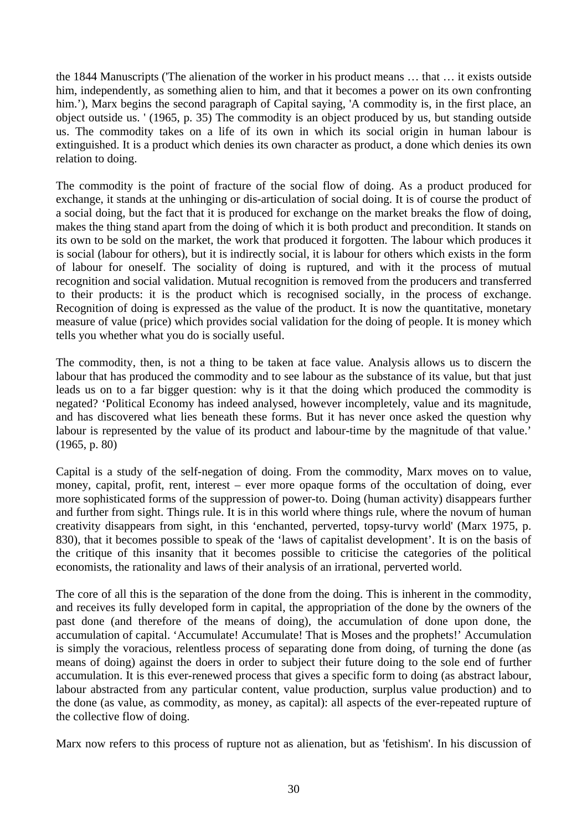the 1844 Manuscripts ('The alienation of the worker in his product means … that … it exists outside him, independently, as something alien to him, and that it becomes a power on its own confronting him.'), Marx begins the second paragraph of Capital saying, 'A commodity is, in the first place, an object outside us. ' (1965, p. 35) The commodity is an object produced by us, but standing outside us. The commodity takes on a life of its own in which its social origin in human labour is extinguished. It is a product which denies its own character as product, a done which denies its own relation to doing.

The commodity is the point of fracture of the social flow of doing. As a product produced for exchange, it stands at the unhinging or dis-articulation of social doing. It is of course the product of a social doing, but the fact that it is produced for exchange on the market breaks the flow of doing, makes the thing stand apart from the doing of which it is both product and precondition. It stands on its own to be sold on the market, the work that produced it forgotten. The labour which produces it is social (labour for others), but it is indirectly social, it is labour for others which exists in the form of labour for oneself. The sociality of doing is ruptured, and with it the process of mutual recognition and social validation. Mutual recognition is removed from the producers and transferred to their products: it is the product which is recognised socially, in the process of exchange. Recognition of doing is expressed as the value of the product. It is now the quantitative, monetary measure of value (price) which provides social validation for the doing of people. It is money which tells you whether what you do is socially useful.

The commodity, then, is not a thing to be taken at face value. Analysis allows us to discern the labour that has produced the commodity and to see labour as the substance of its value, but that just leads us on to a far bigger question: why is it that the doing which produced the commodity is negated? 'Political Economy has indeed analysed, however incompletely, value and its magnitude, and has discovered what lies beneath these forms. But it has never once asked the question why labour is represented by the value of its product and labour-time by the magnitude of that value.' (1965, p. 80)

Capital is a study of the self-negation of doing. From the commodity, Marx moves on to value, money, capital, profit, rent, interest – ever more opaque forms of the occultation of doing, ever more sophisticated forms of the suppression of power-to. Doing (human activity) disappears further and further from sight. Things rule. It is in this world where things rule, where the novum of human creativity disappears from sight, in this 'enchanted, perverted, topsy-turvy world' (Marx 1975, p. 830), that it becomes possible to speak of the 'laws of capitalist development'. It is on the basis of the critique of this insanity that it becomes possible to criticise the categories of the political economists, the rationality and laws of their analysis of an irrational, perverted world.

The core of all this is the separation of the done from the doing. This is inherent in the commodity, and receives its fully developed form in capital, the appropriation of the done by the owners of the past done (and therefore of the means of doing), the accumulation of done upon done, the accumulation of capital. 'Accumulate! Accumulate! That is Moses and the prophets!' Accumulation is simply the voracious, relentless process of separating done from doing, of turning the done (as means of doing) against the doers in order to subject their future doing to the sole end of further accumulation. It is this ever-renewed process that gives a specific form to doing (as abstract labour, labour abstracted from any particular content, value production, surplus value production) and to the done (as value, as commodity, as money, as capital): all aspects of the ever-repeated rupture of the collective flow of doing.

Marx now refers to this process of rupture not as alienation, but as 'fetishism'. In his discussion of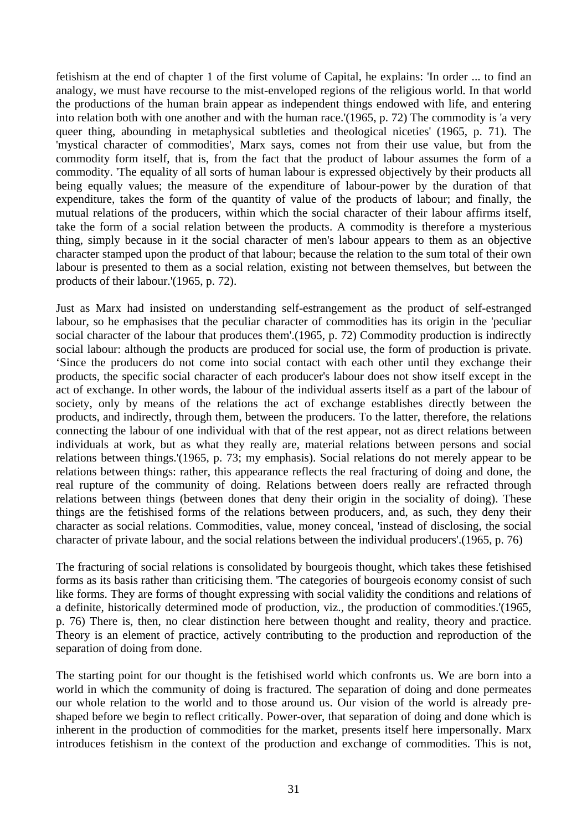fetishism at the end of chapter 1 of the first volume of Capital, he explains: 'In order ... to find an analogy, we must have recourse to the mist-enveloped regions of the religious world. In that world the productions of the human brain appear as independent things endowed with life, and entering into relation both with one another and with the human race.'(1965, p. 72) The commodity is 'a very queer thing, abounding in metaphysical subtleties and theological niceties' (1965, p. 71). The 'mystical character of commodities', Marx says, comes not from their use value, but from the commodity form itself, that is, from the fact that the product of labour assumes the form of a commodity. 'The equality of all sorts of human labour is expressed objectively by their products all being equally values; the measure of the expenditure of labour-power by the duration of that expenditure, takes the form of the quantity of value of the products of labour; and finally, the mutual relations of the producers, within which the social character of their labour affirms itself, take the form of a social relation between the products. A commodity is therefore a mysterious thing, simply because in it the social character of men's labour appears to them as an objective character stamped upon the product of that labour; because the relation to the sum total of their own labour is presented to them as a social relation, existing not between themselves, but between the products of their labour.'(1965, p. 72).

Just as Marx had insisted on understanding self-estrangement as the product of self-estranged labour, so he emphasises that the peculiar character of commodities has its origin in the 'peculiar social character of the labour that produces them'.(1965, p. 72) Commodity production is indirectly social labour: although the products are produced for social use, the form of production is private. 'Since the producers do not come into social contact with each other until they exchange their products, the specific social character of each producer's labour does not show itself except in the act of exchange. In other words, the labour of the individual asserts itself as a part of the labour of society, only by means of the relations the act of exchange establishes directly between the products, and indirectly, through them, between the producers. To the latter, therefore, the relations connecting the labour of one individual with that of the rest appear, not as direct relations between individuals at work, but as what they really are, material relations between persons and social relations between things.'(1965, p. 73; my emphasis). Social relations do not merely appear to be relations between things: rather, this appearance reflects the real fracturing of doing and done, the real rupture of the community of doing. Relations between doers really are refracted through relations between things (between dones that deny their origin in the sociality of doing). These things are the fetishised forms of the relations between producers, and, as such, they deny their character as social relations. Commodities, value, money conceal, 'instead of disclosing, the social character of private labour, and the social relations between the individual producers'.(1965, p. 76)

The fracturing of social relations is consolidated by bourgeois thought, which takes these fetishised forms as its basis rather than criticising them. 'The categories of bourgeois economy consist of such like forms. They are forms of thought expressing with social validity the conditions and relations of a definite, historically determined mode of production, viz., the production of commodities.'(1965, p. 76) There is, then, no clear distinction here between thought and reality, theory and practice. Theory is an element of practice, actively contributing to the production and reproduction of the separation of doing from done.

The starting point for our thought is the fetishised world which confronts us. We are born into a world in which the community of doing is fractured. The separation of doing and done permeates our whole relation to the world and to those around us. Our vision of the world is already preshaped before we begin to reflect critically. Power-over, that separation of doing and done which is inherent in the production of commodities for the market, presents itself here impersonally. Marx introduces fetishism in the context of the production and exchange of commodities. This is not,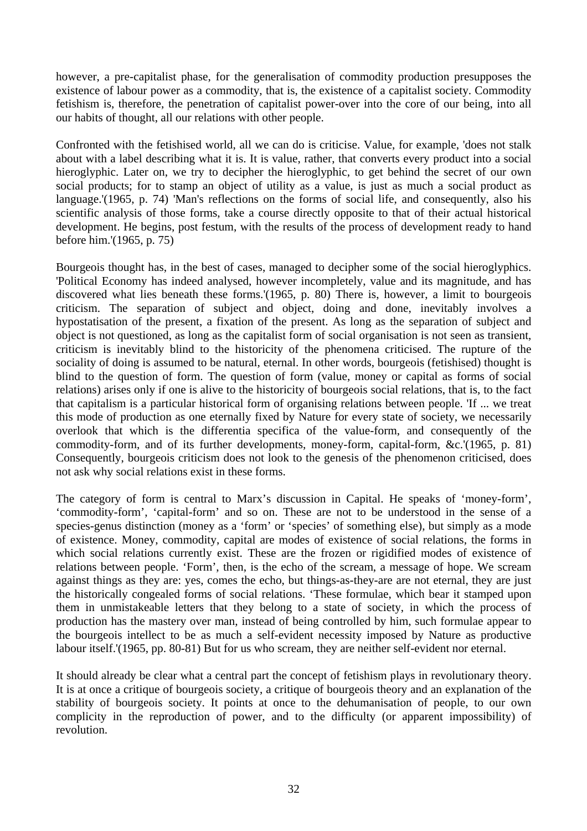however, a pre-capitalist phase, for the generalisation of commodity production presupposes the existence of labour power as a commodity, that is, the existence of a capitalist society. Commodity fetishism is, therefore, the penetration of capitalist power-over into the core of our being, into all our habits of thought, all our relations with other people.

Confronted with the fetishised world, all we can do is criticise. Value, for example, 'does not stalk about with a label describing what it is. It is value, rather, that converts every product into a social hieroglyphic. Later on, we try to decipher the hieroglyphic, to get behind the secret of our own social products; for to stamp an object of utility as a value, is just as much a social product as language.'(1965, p. 74) 'Man's reflections on the forms of social life, and consequently, also his scientific analysis of those forms, take a course directly opposite to that of their actual historical development. He begins, post festum, with the results of the process of development ready to hand before him.'(1965, p. 75)

Bourgeois thought has, in the best of cases, managed to decipher some of the social hieroglyphics. 'Political Economy has indeed analysed, however incompletely, value and its magnitude, and has discovered what lies beneath these forms.'(1965, p. 80) There is, however, a limit to bourgeois criticism. The separation of subject and object, doing and done, inevitably involves a hypostatisation of the present, a fixation of the present. As long as the separation of subject and object is not questioned, as long as the capitalist form of social organisation is not seen as transient, criticism is inevitably blind to the historicity of the phenomena criticised. The rupture of the sociality of doing is assumed to be natural, eternal. In other words, bourgeois (fetishised) thought is blind to the question of form. The question of form (value, money or capital as forms of social relations) arises only if one is alive to the historicity of bourgeois social relations, that is, to the fact that capitalism is a particular historical form of organising relations between people. 'If ... we treat this mode of production as one eternally fixed by Nature for every state of society, we necessarily overlook that which is the differentia specifica of the value-form, and consequently of the commodity-form, and of its further developments, money-form, capital-form, &c.'(1965, p. 81) Consequently, bourgeois criticism does not look to the genesis of the phenomenon criticised, does not ask why social relations exist in these forms.

The category of form is central to Marx's discussion in Capital. He speaks of 'money-form', 'commodity-form', 'capital-form' and so on. These are not to be understood in the sense of a species-genus distinction (money as a 'form' or 'species' of something else), but simply as a mode of existence. Money, commodity, capital are modes of existence of social relations, the forms in which social relations currently exist. These are the frozen or rigidified modes of existence of relations between people. 'Form', then, is the echo of the scream, a message of hope. We scream against things as they are: yes, comes the echo, but things-as-they-are are not eternal, they are just the historically congealed forms of social relations. 'These formulae, which bear it stamped upon them in unmistakeable letters that they belong to a state of society, in which the process of production has the mastery over man, instead of being controlled by him, such formulae appear to the bourgeois intellect to be as much a self-evident necessity imposed by Nature as productive labour itself.'(1965, pp. 80-81) But for us who scream, they are neither self-evident nor eternal.

It should already be clear what a central part the concept of fetishism plays in revolutionary theory. It is at once a critique of bourgeois society, a critique of bourgeois theory and an explanation of the stability of bourgeois society. It points at once to the dehumanisation of people, to our own complicity in the reproduction of power, and to the difficulty (or apparent impossibility) of revolution.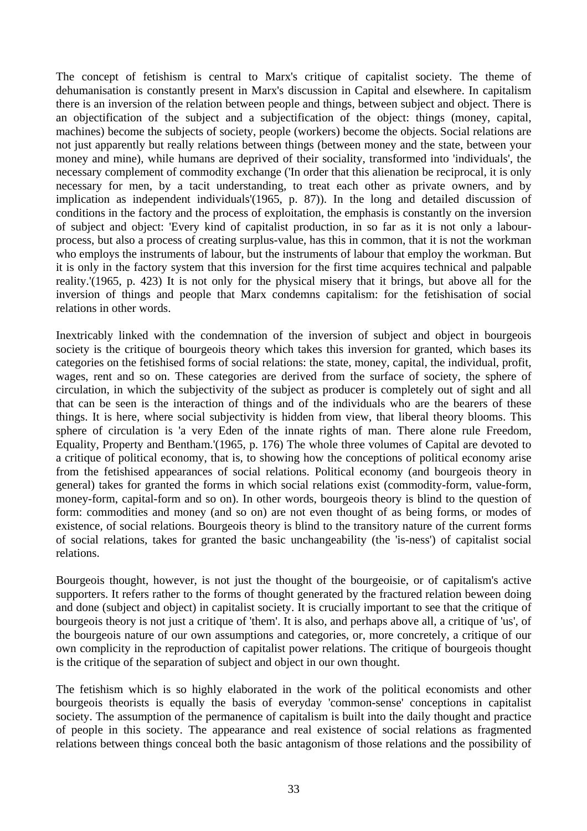The concept of fetishism is central to Marx's critique of capitalist society. The theme of dehumanisation is constantly present in Marx's discussion in Capital and elsewhere. In capitalism there is an inversion of the relation between people and things, between subject and object. There is an objectification of the subject and a subjectification of the object: things (money, capital, machines) become the subjects of society, people (workers) become the objects. Social relations are not just apparently but really relations between things (between money and the state, between your money and mine), while humans are deprived of their sociality, transformed into 'individuals', the necessary complement of commodity exchange ('In order that this alienation be reciprocal, it is only necessary for men, by a tacit understanding, to treat each other as private owners, and by implication as independent individuals'(1965, p. 87)). In the long and detailed discussion of conditions in the factory and the process of exploitation, the emphasis is constantly on the inversion of subject and object: 'Every kind of capitalist production, in so far as it is not only a labourprocess, but also a process of creating surplus-value, has this in common, that it is not the workman who employs the instruments of labour, but the instruments of labour that employ the workman. But it is only in the factory system that this inversion for the first time acquires technical and palpable reality.'(1965, p. 423) It is not only for the physical misery that it brings, but above all for the inversion of things and people that Marx condemns capitalism: for the fetishisation of social relations in other words.

Inextricably linked with the condemnation of the inversion of subject and object in bourgeois society is the critique of bourgeois theory which takes this inversion for granted, which bases its categories on the fetishised forms of social relations: the state, money, capital, the individual, profit, wages, rent and so on. These categories are derived from the surface of society, the sphere of circulation, in which the subjectivity of the subject as producer is completely out of sight and all that can be seen is the interaction of things and of the individuals who are the bearers of these things. It is here, where social subjectivity is hidden from view, that liberal theory blooms. This sphere of circulation is 'a very Eden of the innate rights of man. There alone rule Freedom, Equality, Property and Bentham.'(1965, p. 176) The whole three volumes of Capital are devoted to a critique of political economy, that is, to showing how the conceptions of political economy arise from the fetishised appearances of social relations. Political economy (and bourgeois theory in general) takes for granted the forms in which social relations exist (commodity-form, value-form, money-form, capital-form and so on). In other words, bourgeois theory is blind to the question of form: commodities and money (and so on) are not even thought of as being forms, or modes of existence, of social relations. Bourgeois theory is blind to the transitory nature of the current forms of social relations, takes for granted the basic unchangeability (the 'is-ness') of capitalist social relations.

Bourgeois thought, however, is not just the thought of the bourgeoisie, or of capitalism's active supporters. It refers rather to the forms of thought generated by the fractured relation beween doing and done (subject and object) in capitalist society. It is crucially important to see that the critique of bourgeois theory is not just a critique of 'them'. It is also, and perhaps above all, a critique of 'us', of the bourgeois nature of our own assumptions and categories, or, more concretely, a critique of our own complicity in the reproduction of capitalist power relations. The critique of bourgeois thought is the critique of the separation of subject and object in our own thought.

The fetishism which is so highly elaborated in the work of the political economists and other bourgeois theorists is equally the basis of everyday 'common-sense' conceptions in capitalist society. The assumption of the permanence of capitalism is built into the daily thought and practice of people in this society. The appearance and real existence of social relations as fragmented relations between things conceal both the basic antagonism of those relations and the possibility of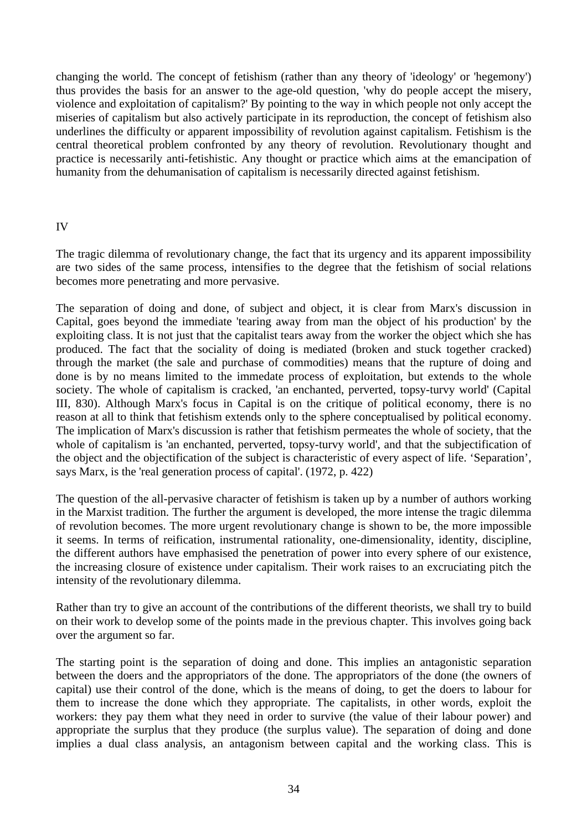changing the world. The concept of fetishism (rather than any theory of 'ideology' or 'hegemony') thus provides the basis for an answer to the age-old question, 'why do people accept the misery, violence and exploitation of capitalism?' By pointing to the way in which people not only accept the miseries of capitalism but also actively participate in its reproduction, the concept of fetishism also underlines the difficulty or apparent impossibility of revolution against capitalism. Fetishism is the central theoretical problem confronted by any theory of revolution. Revolutionary thought and practice is necessarily anti-fetishistic. Any thought or practice which aims at the emancipation of humanity from the dehumanisation of capitalism is necessarily directed against fetishism.

# IV

The tragic dilemma of revolutionary change, the fact that its urgency and its apparent impossibility are two sides of the same process, intensifies to the degree that the fetishism of social relations becomes more penetrating and more pervasive.

The separation of doing and done, of subject and object, it is clear from Marx's discussion in Capital, goes beyond the immediate 'tearing away from man the object of his production' by the exploiting class. It is not just that the capitalist tears away from the worker the object which she has produced. The fact that the sociality of doing is mediated (broken and stuck together cracked) through the market (the sale and purchase of commodities) means that the rupture of doing and done is by no means limited to the immedate process of exploitation, but extends to the whole society. The whole of capitalism is cracked, 'an enchanted, perverted, topsy-turvy world' (Capital III, 830). Although Marx's focus in Capital is on the critique of political economy, there is no reason at all to think that fetishism extends only to the sphere conceptualised by political economy. The implication of Marx's discussion is rather that fetishism permeates the whole of society, that the whole of capitalism is 'an enchanted, perverted, topsy-turvy world', and that the subjectification of the object and the objectification of the subject is characteristic of every aspect of life. 'Separation', says Marx, is the 'real generation process of capital'. (1972, p. 422)

The question of the all-pervasive character of fetishism is taken up by a number of authors working in the Marxist tradition. The further the argument is developed, the more intense the tragic dilemma of revolution becomes. The more urgent revolutionary change is shown to be, the more impossible it seems. In terms of reification, instrumental rationality, one-dimensionality, identity, discipline, the different authors have emphasised the penetration of power into every sphere of our existence, the increasing closure of existence under capitalism. Their work raises to an excruciating pitch the intensity of the revolutionary dilemma.

Rather than try to give an account of the contributions of the different theorists, we shall try to build on their work to develop some of the points made in the previous chapter. This involves going back over the argument so far.

The starting point is the separation of doing and done. This implies an antagonistic separation between the doers and the appropriators of the done. The appropriators of the done (the owners of capital) use their control of the done, which is the means of doing, to get the doers to labour for them to increase the done which they appropriate. The capitalists, in other words, exploit the workers: they pay them what they need in order to survive (the value of their labour power) and appropriate the surplus that they produce (the surplus value). The separation of doing and done implies a dual class analysis, an antagonism between capital and the working class. This is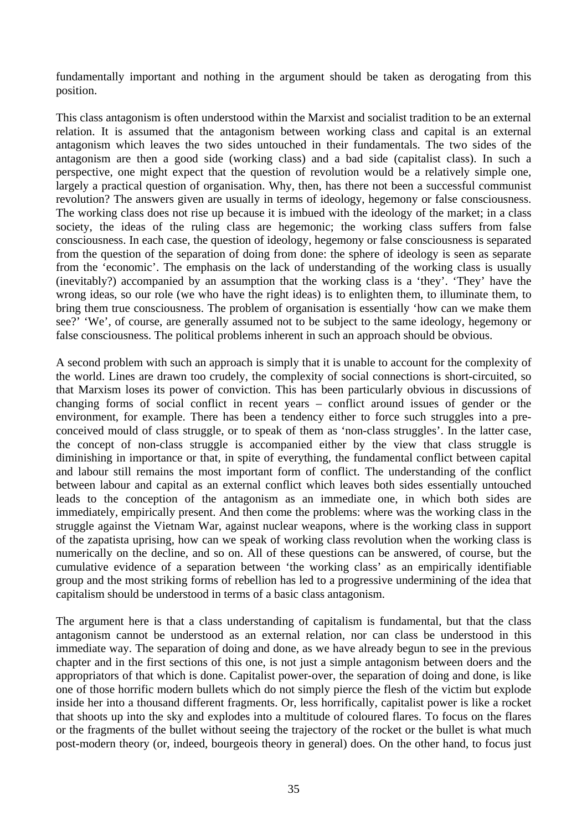fundamentally important and nothing in the argument should be taken as derogating from this position.

This class antagonism is often understood within the Marxist and socialist tradition to be an external relation. It is assumed that the antagonism between working class and capital is an external antagonism which leaves the two sides untouched in their fundamentals. The two sides of the antagonism are then a good side (working class) and a bad side (capitalist class). In such a perspective, one might expect that the question of revolution would be a relatively simple one, largely a practical question of organisation. Why, then, has there not been a successful communist revolution? The answers given are usually in terms of ideology, hegemony or false consciousness. The working class does not rise up because it is imbued with the ideology of the market; in a class society, the ideas of the ruling class are hegemonic; the working class suffers from false consciousness. In each case, the question of ideology, hegemony or false consciousness is separated from the question of the separation of doing from done: the sphere of ideology is seen as separate from the 'economic'. The emphasis on the lack of understanding of the working class is usually (inevitably?) accompanied by an assumption that the working class is a 'they'. 'They' have the wrong ideas, so our role (we who have the right ideas) is to enlighten them, to illuminate them, to bring them true consciousness. The problem of organisation is essentially 'how can we make them see?' 'We', of course, are generally assumed not to be subject to the same ideology, hegemony or false consciousness. The political problems inherent in such an approach should be obvious.

A second problem with such an approach is simply that it is unable to account for the complexity of the world. Lines are drawn too crudely, the complexity of social connections is short-circuited, so that Marxism loses its power of conviction. This has been particularly obvious in discussions of changing forms of social conflict in recent years – conflict around issues of gender or the environment, for example. There has been a tendency either to force such struggles into a preconceived mould of class struggle, or to speak of them as 'non-class struggles'. In the latter case, the concept of non-class struggle is accompanied either by the view that class struggle is diminishing in importance or that, in spite of everything, the fundamental conflict between capital and labour still remains the most important form of conflict. The understanding of the conflict between labour and capital as an external conflict which leaves both sides essentially untouched leads to the conception of the antagonism as an immediate one, in which both sides are immediately, empirically present. And then come the problems: where was the working class in the struggle against the Vietnam War, against nuclear weapons, where is the working class in support of the zapatista uprising, how can we speak of working class revolution when the working class is numerically on the decline, and so on. All of these questions can be answered, of course, but the cumulative evidence of a separation between 'the working class' as an empirically identifiable group and the most striking forms of rebellion has led to a progressive undermining of the idea that capitalism should be understood in terms of a basic class antagonism.

The argument here is that a class understanding of capitalism is fundamental, but that the class antagonism cannot be understood as an external relation, nor can class be understood in this immediate way. The separation of doing and done, as we have already begun to see in the previous chapter and in the first sections of this one, is not just a simple antagonism between doers and the appropriators of that which is done. Capitalist power-over, the separation of doing and done, is like one of those horrific modern bullets which do not simply pierce the flesh of the victim but explode inside her into a thousand different fragments. Or, less horrifically, capitalist power is like a rocket that shoots up into the sky and explodes into a multitude of coloured flares. To focus on the flares or the fragments of the bullet without seeing the trajectory of the rocket or the bullet is what much post-modern theory (or, indeed, bourgeois theory in general) does. On the other hand, to focus just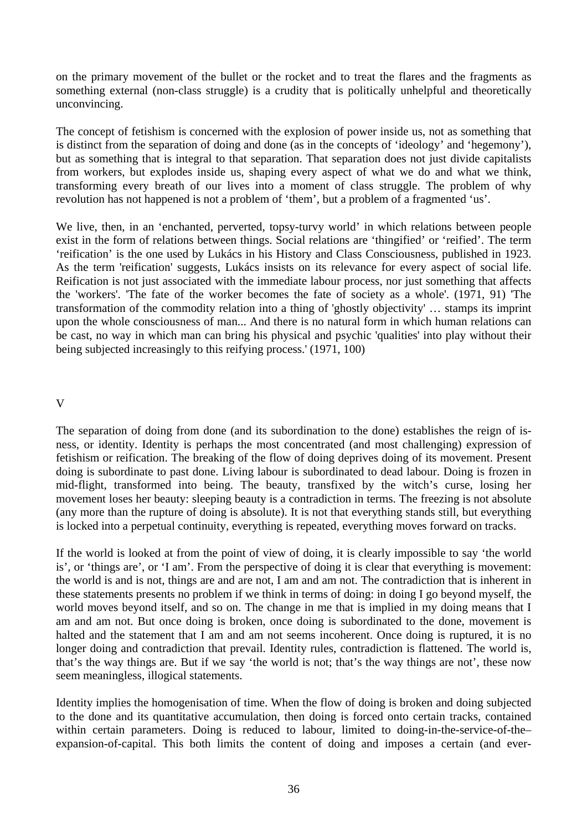on the primary movement of the bullet or the rocket and to treat the flares and the fragments as something external (non-class struggle) is a crudity that is politically unhelpful and theoretically unconvincing.

The concept of fetishism is concerned with the explosion of power inside us, not as something that is distinct from the separation of doing and done (as in the concepts of 'ideology' and 'hegemony'), but as something that is integral to that separation. That separation does not just divide capitalists from workers, but explodes inside us, shaping every aspect of what we do and what we think, transforming every breath of our lives into a moment of class struggle. The problem of why revolution has not happened is not a problem of 'them', but a problem of a fragmented 'us'.

We live, then, in an 'enchanted, perverted, topsy-turvy world' in which relations between people exist in the form of relations between things. Social relations are 'thingified' or 'reified'. The term 'reification' is the one used by Lukács in his History and Class Consciousness, published in 1923. As the term 'reification' suggests, Lukács insists on its relevance for every aspect of social life. Reification is not just associated with the immediate labour process, nor just something that affects the 'workers'. 'The fate of the worker becomes the fate of society as a whole'. (1971, 91) 'The transformation of the commodity relation into a thing of 'ghostly objectivity' … stamps its imprint upon the whole consciousness of man... And there is no natural form in which human relations can be cast, no way in which man can bring his physical and psychic 'qualities' into play without their being subjected increasingly to this reifying process.' (1971, 100)

### V

The separation of doing from done (and its subordination to the done) establishes the reign of isness, or identity. Identity is perhaps the most concentrated (and most challenging) expression of fetishism or reification. The breaking of the flow of doing deprives doing of its movement. Present doing is subordinate to past done. Living labour is subordinated to dead labour. Doing is frozen in mid-flight, transformed into being. The beauty, transfixed by the witch's curse, losing her movement loses her beauty: sleeping beauty is a contradiction in terms. The freezing is not absolute (any more than the rupture of doing is absolute). It is not that everything stands still, but everything is locked into a perpetual continuity, everything is repeated, everything moves forward on tracks.

If the world is looked at from the point of view of doing, it is clearly impossible to say 'the world is', or 'things are', or 'I am'. From the perspective of doing it is clear that everything is movement: the world is and is not, things are and are not, I am and am not. The contradiction that is inherent in these statements presents no problem if we think in terms of doing: in doing I go beyond myself, the world moves beyond itself, and so on. The change in me that is implied in my doing means that I am and am not. But once doing is broken, once doing is subordinated to the done, movement is halted and the statement that I am and am not seems incoherent. Once doing is ruptured, it is no longer doing and contradiction that prevail. Identity rules, contradiction is flattened. The world is, that's the way things are. But if we say 'the world is not; that's the way things are not', these now seem meaningless, illogical statements.

Identity implies the homogenisation of time. When the flow of doing is broken and doing subjected to the done and its quantitative accumulation, then doing is forced onto certain tracks, contained within certain parameters. Doing is reduced to labour, limited to doing-in-the-service-of-the– expansion-of-capital. This both limits the content of doing and imposes a certain (and ever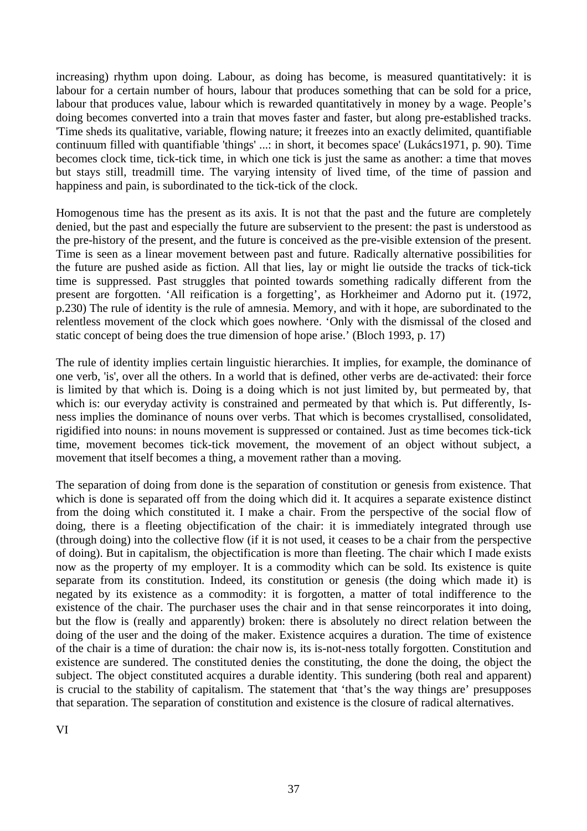increasing) rhythm upon doing. Labour, as doing has become, is measured quantitatively: it is labour for a certain number of hours, labour that produces something that can be sold for a price, labour that produces value, labour which is rewarded quantitatively in money by a wage. People's doing becomes converted into a train that moves faster and faster, but along pre-established tracks. 'Time sheds its qualitative, variable, flowing nature; it freezes into an exactly delimited, quantifiable continuum filled with quantifiable 'things' ...: in short, it becomes space' (Lukács1971, p. 90). Time becomes clock time, tick-tick time, in which one tick is just the same as another: a time that moves but stays still, treadmill time. The varying intensity of lived time, of the time of passion and happiness and pain, is subordinated to the tick-tick of the clock.

Homogenous time has the present as its axis. It is not that the past and the future are completely denied, but the past and especially the future are subservient to the present: the past is understood as the pre-history of the present, and the future is conceived as the pre-visible extension of the present. Time is seen as a linear movement between past and future. Radically alternative possibilities for the future are pushed aside as fiction. All that lies, lay or might lie outside the tracks of tick-tick time is suppressed. Past struggles that pointed towards something radically different from the present are forgotten. 'All reification is a forgetting', as Horkheimer and Adorno put it. (1972, p.230) The rule of identity is the rule of amnesia. Memory, and with it hope, are subordinated to the relentless movement of the clock which goes nowhere. 'Only with the dismissal of the closed and static concept of being does the true dimension of hope arise.' (Bloch 1993, p. 17)

The rule of identity implies certain linguistic hierarchies. It implies, for example, the dominance of one verb, 'is', over all the others. In a world that is defined, other verbs are de-activated: their force is limited by that which is. Doing is a doing which is not just limited by, but permeated by, that which is: our everyday activity is constrained and permeated by that which is. Put differently, Isness implies the dominance of nouns over verbs. That which is becomes crystallised, consolidated, rigidified into nouns: in nouns movement is suppressed or contained. Just as time becomes tick-tick time, movement becomes tick-tick movement, the movement of an object without subject, a movement that itself becomes a thing, a movement rather than a moving.

The separation of doing from done is the separation of constitution or genesis from existence. That which is done is separated off from the doing which did it. It acquires a separate existence distinct from the doing which constituted it. I make a chair. From the perspective of the social flow of doing, there is a fleeting objectification of the chair: it is immediately integrated through use (through doing) into the collective flow (if it is not used, it ceases to be a chair from the perspective of doing). But in capitalism, the objectification is more than fleeting. The chair which I made exists now as the property of my employer. It is a commodity which can be sold. Its existence is quite separate from its constitution. Indeed, its constitution or genesis (the doing which made it) is negated by its existence as a commodity: it is forgotten, a matter of total indifference to the existence of the chair. The purchaser uses the chair and in that sense reincorporates it into doing, but the flow is (really and apparently) broken: there is absolutely no direct relation between the doing of the user and the doing of the maker. Existence acquires a duration. The time of existence of the chair is a time of duration: the chair now is, its is-not-ness totally forgotten. Constitution and existence are sundered. The constituted denies the constituting, the done the doing, the object the subject. The object constituted acquires a durable identity. This sundering (both real and apparent) is crucial to the stability of capitalism. The statement that 'that's the way things are' presupposes that separation. The separation of constitution and existence is the closure of radical alternatives.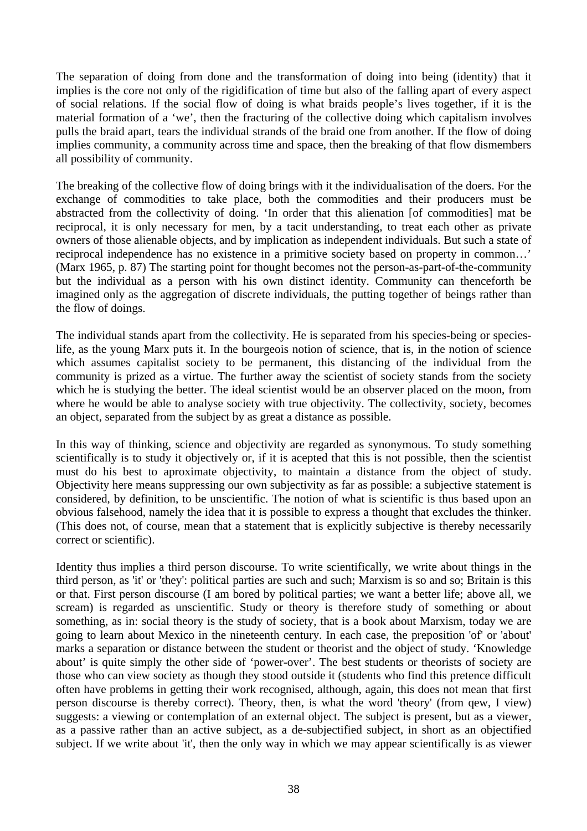The separation of doing from done and the transformation of doing into being (identity) that it implies is the core not only of the rigidification of time but also of the falling apart of every aspect of social relations. If the social flow of doing is what braids people's lives together, if it is the material formation of a 'we', then the fracturing of the collective doing which capitalism involves pulls the braid apart, tears the individual strands of the braid one from another. If the flow of doing implies community, a community across time and space, then the breaking of that flow dismembers all possibility of community.

The breaking of the collective flow of doing brings with it the individualisation of the doers. For the exchange of commodities to take place, both the commodities and their producers must be abstracted from the collectivity of doing. 'In order that this alienation [of commodities] mat be reciprocal, it is only necessary for men, by a tacit understanding, to treat each other as private owners of those alienable objects, and by implication as independent individuals. But such a state of reciprocal independence has no existence in a primitive society based on property in common…' (Marx 1965, p. 87) The starting point for thought becomes not the person-as-part-of-the-community but the individual as a person with his own distinct identity. Community can thenceforth be imagined only as the aggregation of discrete individuals, the putting together of beings rather than the flow of doings.

The individual stands apart from the collectivity. He is separated from his species-being or specieslife, as the young Marx puts it. In the bourgeois notion of science, that is, in the notion of science which assumes capitalist society to be permanent, this distancing of the individual from the community is prized as a virtue. The further away the scientist of society stands from the society which he is studying the better. The ideal scientist would be an observer placed on the moon, from where he would be able to analyse society with true objectivity. The collectivity, society, becomes an object, separated from the subject by as great a distance as possible.

In this way of thinking, science and objectivity are regarded as synonymous. To study something scientifically is to study it objectively or, if it is acepted that this is not possible, then the scientist must do his best to aproximate objectivity, to maintain a distance from the object of study. Objectivity here means suppressing our own subjectivity as far as possible: a subjective statement is considered, by definition, to be unscientific. The notion of what is scientific is thus based upon an obvious falsehood, namely the idea that it is possible to express a thought that excludes the thinker. (This does not, of course, mean that a statement that is explicitly subjective is thereby necessarily correct or scientific).

Identity thus implies a third person discourse. To write scientifically, we write about things in the third person, as 'it' or 'they': political parties are such and such; Marxism is so and so; Britain is this or that. First person discourse (I am bored by political parties; we want a better life; above all, we scream) is regarded as unscientific. Study or theory is therefore study of something or about something, as in: social theory is the study of society, that is a book about Marxism, today we are going to learn about Mexico in the nineteenth century. In each case, the preposition 'of' or 'about' marks a separation or distance between the student or theorist and the object of study. 'Knowledge about' is quite simply the other side of 'power-over'. The best students or theorists of society are those who can view society as though they stood outside it (students who find this pretence difficult often have problems in getting their work recognised, although, again, this does not mean that first person discourse is thereby correct). Theory, then, is what the word 'theory' (from qew, I view) suggests: a viewing or contemplation of an external object. The subject is present, but as a viewer, as a passive rather than an active subject, as a de-subjectified subject, in short as an objectified subject. If we write about 'it', then the only way in which we may appear scientifically is as viewer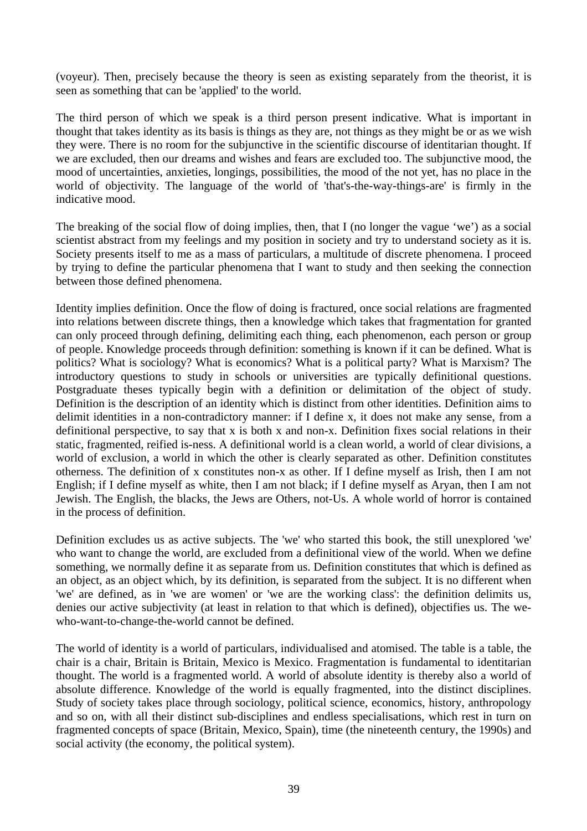(voyeur). Then, precisely because the theory is seen as existing separately from the theorist, it is seen as something that can be 'applied' to the world.

The third person of which we speak is a third person present indicative. What is important in thought that takes identity as its basis is things as they are, not things as they might be or as we wish they were. There is no room for the subjunctive in the scientific discourse of identitarian thought. If we are excluded, then our dreams and wishes and fears are excluded too. The subjunctive mood, the mood of uncertainties, anxieties, longings, possibilities, the mood of the not yet, has no place in the world of objectivity. The language of the world of 'that's-the-way-things-are' is firmly in the indicative mood.

The breaking of the social flow of doing implies, then, that I (no longer the vague 'we') as a social scientist abstract from my feelings and my position in society and try to understand society as it is. Society presents itself to me as a mass of particulars, a multitude of discrete phenomena. I proceed by trying to define the particular phenomena that I want to study and then seeking the connection between those defined phenomena.

Identity implies definition. Once the flow of doing is fractured, once social relations are fragmented into relations between discrete things, then a knowledge which takes that fragmentation for granted can only proceed through defining, delimiting each thing, each phenomenon, each person or group of people. Knowledge proceeds through definition: something is known if it can be defined. What is politics? What is sociology? What is economics? What is a political party? What is Marxism? The introductory questions to study in schools or universities are typically definitional questions. Postgraduate theses typically begin with a definition or delimitation of the object of study. Definition is the description of an identity which is distinct from other identities. Definition aims to delimit identities in a non-contradictory manner: if I define x, it does not make any sense, from a definitional perspective, to say that x is both x and non-x. Definition fixes social relations in their static, fragmented, reified is-ness. A definitional world is a clean world, a world of clear divisions, a world of exclusion, a world in which the other is clearly separated as other. Definition constitutes otherness. The definition of x constitutes non-x as other. If I define myself as Irish, then I am not English; if I define myself as white, then I am not black; if I define myself as Aryan, then I am not Jewish. The English, the blacks, the Jews are Others, not-Us. A whole world of horror is contained in the process of definition.

Definition excludes us as active subjects. The 'we' who started this book, the still unexplored 'we' who want to change the world, are excluded from a definitional view of the world. When we define something, we normally define it as separate from us. Definition constitutes that which is defined as an object, as an object which, by its definition, is separated from the subject. It is no different when 'we' are defined, as in 'we are women' or 'we are the working class': the definition delimits us, denies our active subjectivity (at least in relation to that which is defined), objectifies us. The wewho-want-to-change-the-world cannot be defined.

The world of identity is a world of particulars, individualised and atomised. The table is a table, the chair is a chair, Britain is Britain, Mexico is Mexico. Fragmentation is fundamental to identitarian thought. The world is a fragmented world. A world of absolute identity is thereby also a world of absolute difference. Knowledge of the world is equally fragmented, into the distinct disciplines. Study of society takes place through sociology, political science, economics, history, anthropology and so on, with all their distinct sub-disciplines and endless specialisations, which rest in turn on fragmented concepts of space (Britain, Mexico, Spain), time (the nineteenth century, the 1990s) and social activity (the economy, the political system).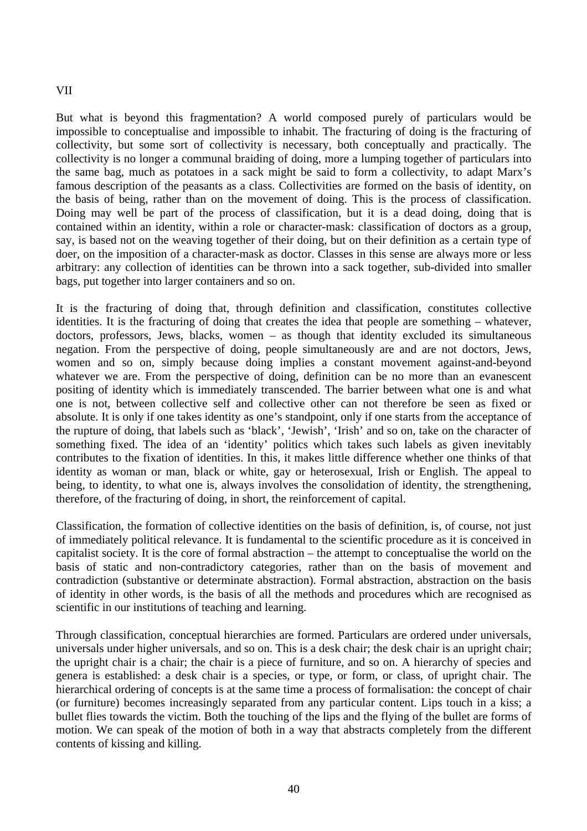#### VII

But what is beyond this fragmentation? A world composed purely of particulars would be impossible to conceptualise and impossible to inhabit. The fracturing of doing is the fracturing of collectivity, but some sort of collectivity is necessary, both conceptually and practically. The collectivity is no longer a communal braiding of doing, more a lumping together of particulars into the same bag, much as potatoes in a sack might be said to form a collectivity, to adapt Marx's famous description of the peasants as a class. Collectivities are formed on the basis of identity, on the basis of being, rather than on the movement of doing. This is the process of classification. Doing may well be part of the process of classification, but it is a dead doing, doing that is contained within an identity, within a role or character-mask: classification of doctors as a group, say, is based not on the weaving together of their doing, but on their definition as a certain type of doer, on the imposition of a character-mask as doctor. Classes in this sense are always more or less arbitrary: any collection of identities can be thrown into a sack together, sub-divided into smaller bags, put together into larger containers and so on.

It is the fracturing of doing that, through definition and classification, constitutes collective identities. It is the fracturing of doing that creates the idea that people are something – whatever, doctors, professors, Jews, blacks, women – as though that identity excluded its simultaneous negation. From the perspective of doing, people simultaneously are and are not doctors, Jews, women and so on, simply because doing implies a constant movement against-and-beyond whatever we are. From the perspective of doing, definition can be no more than an evanescent positing of identity which is immediately transcended. The barrier between what one is and what one is not, between collective self and collective other can not therefore be seen as fixed or absolute. It is only if one takes identity as one's standpoint, only if one starts from the acceptance of the rupture of doing, that labels such as 'black', 'Jewish', 'Irish' and so on, take on the character of something fixed. The idea of an 'identity' politics which takes such labels as given inevitably contributes to the fixation of identities. In this, it makes little difference whether one thinks of that identity as woman or man, black or white, gay or heterosexual, Irish or English. The appeal to being, to identity, to what one is, always involves the consolidation of identity, the strengthening, therefore, of the fracturing of doing, in short, the reinforcement of capital.

Classification, the formation of collective identities on the basis of definition, is, of course, not just of immediately political relevance. It is fundamental to the scientific procedure as it is conceived in capitalist society. It is the core of formal abstraction – the attempt to conceptualise the world on the basis of static and non-contradictory categories, rather than on the basis of movement and contradiction (substantive or determinate abstraction). Formal abstraction, abstraction on the basis of identity in other words, is the basis of all the methods and procedures which are recognised as scientific in our institutions of teaching and learning.

Through classification, conceptual hierarchies are formed. Particulars are ordered under universals, universals under higher universals, and so on. This is a desk chair; the desk chair is an upright chair; the upright chair is a chair; the chair is a piece of furniture, and so on. A hierarchy of species and genera is established: a desk chair is a species, or type, or form, or class, of upright chair. The hierarchical ordering of concepts is at the same time a process of formalisation: the concept of chair (or furniture) becomes increasingly separated from any particular content. Lips touch in a kiss; a bullet flies towards the victim. Both the touching of the lips and the flying of the bullet are forms of motion. We can speak of the motion of both in a way that abstracts completely from the different contents of kissing and killing.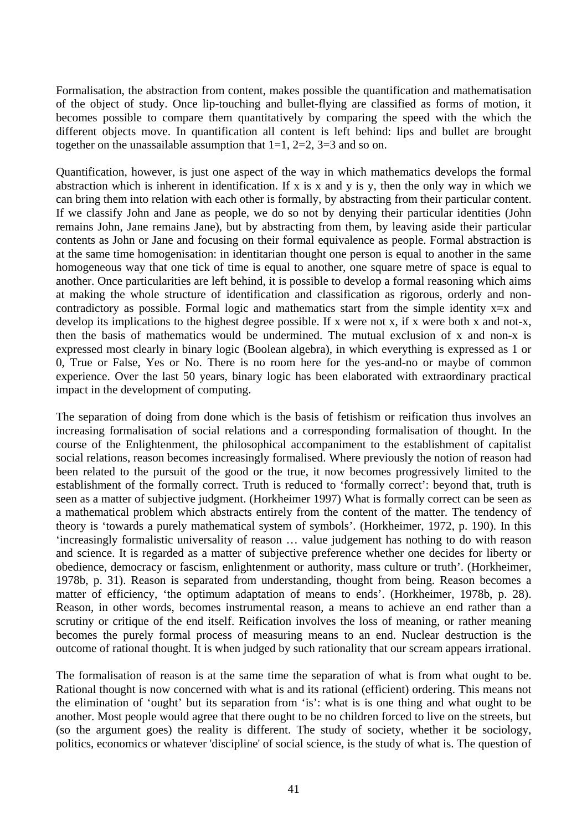Formalisation, the abstraction from content, makes possible the quantification and mathematisation of the object of study. Once lip-touching and bullet-flying are classified as forms of motion, it becomes possible to compare them quantitatively by comparing the speed with the which the different objects move. In quantification all content is left behind: lips and bullet are brought together on the unassailable assumption that  $1=1$ ,  $2=2$ ,  $3=3$  and so on.

Quantification, however, is just one aspect of the way in which mathematics develops the formal abstraction which is inherent in identification. If x is x and y is y, then the only way in which we can bring them into relation with each other is formally, by abstracting from their particular content. If we classify John and Jane as people, we do so not by denying their particular identities (John remains John, Jane remains Jane), but by abstracting from them, by leaving aside their particular contents as John or Jane and focusing on their formal equivalence as people. Formal abstraction is at the same time homogenisation: in identitarian thought one person is equal to another in the same homogeneous way that one tick of time is equal to another, one square metre of space is equal to another. Once particularities are left behind, it is possible to develop a formal reasoning which aims at making the whole structure of identification and classification as rigorous, orderly and noncontradictory as possible. Formal logic and mathematics start from the simple identity  $x=x$  and develop its implications to the highest degree possible. If x were not x, if x were both x and not-x, then the basis of mathematics would be undermined. The mutual exclusion of x and non-x is expressed most clearly in binary logic (Boolean algebra), in which everything is expressed as 1 or 0, True or False, Yes or No. There is no room here for the yes-and-no or maybe of common experience. Over the last 50 years, binary logic has been elaborated with extraordinary practical impact in the development of computing.

The separation of doing from done which is the basis of fetishism or reification thus involves an increasing formalisation of social relations and a corresponding formalisation of thought. In the course of the Enlightenment, the philosophical accompaniment to the establishment of capitalist social relations, reason becomes increasingly formalised. Where previously the notion of reason had been related to the pursuit of the good or the true, it now becomes progressively limited to the establishment of the formally correct. Truth is reduced to 'formally correct': beyond that, truth is seen as a matter of subjective judgment. (Horkheimer 1997) What is formally correct can be seen as a mathematical problem which abstracts entirely from the content of the matter. The tendency of theory is 'towards a purely mathematical system of symbols'. (Horkheimer, 1972, p. 190). In this 'increasingly formalistic universality of reason … value judgement has nothing to do with reason and science. It is regarded as a matter of subjective preference whether one decides for liberty or obedience, democracy or fascism, enlightenment or authority, mass culture or truth'. (Horkheimer, 1978b, p. 31). Reason is separated from understanding, thought from being. Reason becomes a matter of efficiency, 'the optimum adaptation of means to ends'. (Horkheimer, 1978b, p. 28). Reason, in other words, becomes instrumental reason, a means to achieve an end rather than a scrutiny or critique of the end itself. Reification involves the loss of meaning, or rather meaning becomes the purely formal process of measuring means to an end. Nuclear destruction is the outcome of rational thought. It is when judged by such rationality that our scream appears irrational.

The formalisation of reason is at the same time the separation of what is from what ought to be. Rational thought is now concerned with what is and its rational (efficient) ordering. This means not the elimination of 'ought' but its separation from 'is': what is is one thing and what ought to be another. Most people would agree that there ought to be no children forced to live on the streets, but (so the argument goes) the reality is different. The study of society, whether it be sociology, politics, economics or whatever 'discipline' of social science, is the study of what is. The question of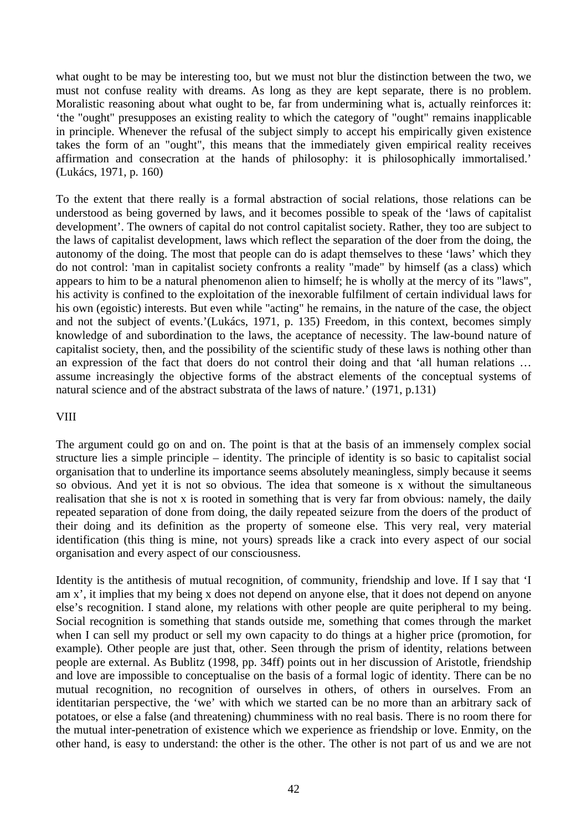what ought to be may be interesting too, but we must not blur the distinction between the two, we must not confuse reality with dreams. As long as they are kept separate, there is no problem. Moralistic reasoning about what ought to be, far from undermining what is, actually reinforces it: 'the "ought" presupposes an existing reality to which the category of "ought" remains inapplicable in principle. Whenever the refusal of the subject simply to accept his empirically given existence takes the form of an "ought", this means that the immediately given empirical reality receives affirmation and consecration at the hands of philosophy: it is philosophically immortalised.' (Lukács, 1971, p. 160)

To the extent that there really is a formal abstraction of social relations, those relations can be understood as being governed by laws, and it becomes possible to speak of the 'laws of capitalist development'. The owners of capital do not control capitalist society. Rather, they too are subject to the laws of capitalist development, laws which reflect the separation of the doer from the doing, the autonomy of the doing. The most that people can do is adapt themselves to these 'laws' which they do not control: 'man in capitalist society confronts a reality "made" by himself (as a class) which appears to him to be a natural phenomenon alien to himself; he is wholly at the mercy of its "laws", his activity is confined to the exploitation of the inexorable fulfilment of certain individual laws for his own (egoistic) interests. But even while "acting" he remains, in the nature of the case, the object and not the subject of events.'(Lukács, 1971, p. 135) Freedom, in this context, becomes simply knowledge of and subordination to the laws, the aceptance of necessity. The law-bound nature of capitalist society, then, and the possibility of the scientific study of these laws is nothing other than an expression of the fact that doers do not control their doing and that 'all human relations … assume increasingly the objective forms of the abstract elements of the conceptual systems of natural science and of the abstract substrata of the laws of nature.' (1971, p.131)

### VIII

The argument could go on and on. The point is that at the basis of an immensely complex social structure lies a simple principle – identity. The principle of identity is so basic to capitalist social organisation that to underline its importance seems absolutely meaningless, simply because it seems so obvious. And yet it is not so obvious. The idea that someone is x without the simultaneous realisation that she is not x is rooted in something that is very far from obvious: namely, the daily repeated separation of done from doing, the daily repeated seizure from the doers of the product of their doing and its definition as the property of someone else. This very real, very material identification (this thing is mine, not yours) spreads like a crack into every aspect of our social organisation and every aspect of our consciousness.

Identity is the antithesis of mutual recognition, of community, friendship and love. If I say that 'I am x', it implies that my being x does not depend on anyone else, that it does not depend on anyone else's recognition. I stand alone, my relations with other people are quite peripheral to my being. Social recognition is something that stands outside me, something that comes through the market when I can sell my product or sell my own capacity to do things at a higher price (promotion, for example). Other people are just that, other. Seen through the prism of identity, relations between people are external. As Bublitz (1998, pp. 34ff) points out in her discussion of Aristotle, friendship and love are impossible to conceptualise on the basis of a formal logic of identity. There can be no mutual recognition, no recognition of ourselves in others, of others in ourselves. From an identitarian perspective, the 'we' with which we started can be no more than an arbitrary sack of potatoes, or else a false (and threatening) chumminess with no real basis. There is no room there for the mutual inter-penetration of existence which we experience as friendship or love. Enmity, on the other hand, is easy to understand: the other is the other. The other is not part of us and we are not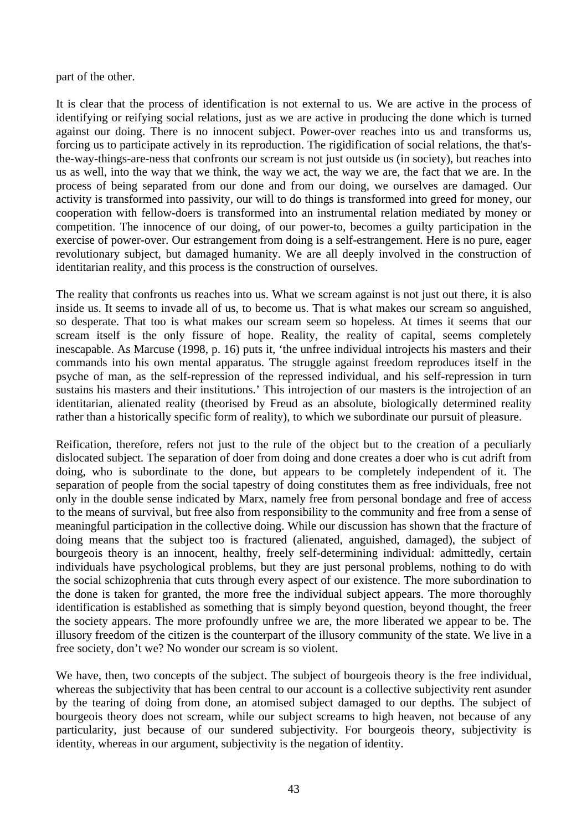part of the other.

It is clear that the process of identification is not external to us. We are active in the process of identifying or reifying social relations, just as we are active in producing the done which is turned against our doing. There is no innocent subject. Power-over reaches into us and transforms us, forcing us to participate actively in its reproduction. The rigidification of social relations, the that'sthe-way-things-are-ness that confronts our scream is not just outside us (in society), but reaches into us as well, into the way that we think, the way we act, the way we are, the fact that we are. In the process of being separated from our done and from our doing, we ourselves are damaged. Our activity is transformed into passivity, our will to do things is transformed into greed for money, our cooperation with fellow-doers is transformed into an instrumental relation mediated by money or competition. The innocence of our doing, of our power-to, becomes a guilty participation in the exercise of power-over. Our estrangement from doing is a self-estrangement. Here is no pure, eager revolutionary subject, but damaged humanity. We are all deeply involved in the construction of identitarian reality, and this process is the construction of ourselves.

The reality that confronts us reaches into us. What we scream against is not just out there, it is also inside us. It seems to invade all of us, to become us. That is what makes our scream so anguished, so desperate. That too is what makes our scream seem so hopeless. At times it seems that our scream itself is the only fissure of hope. Reality, the reality of capital, seems completely inescapable. As Marcuse (1998, p. 16) puts it, 'the unfree individual introjects his masters and their commands into his own mental apparatus. The struggle against freedom reproduces itself in the psyche of man, as the self-repression of the repressed individual, and his self-repression in turn sustains his masters and their institutions.' This introjection of our masters is the introjection of an identitarian, alienated reality (theorised by Freud as an absolute, biologically determined reality rather than a historically specific form of reality), to which we subordinate our pursuit of pleasure.

Reification, therefore, refers not just to the rule of the object but to the creation of a peculiarly dislocated subject. The separation of doer from doing and done creates a doer who is cut adrift from doing, who is subordinate to the done, but appears to be completely independent of it. The separation of people from the social tapestry of doing constitutes them as free individuals, free not only in the double sense indicated by Marx, namely free from personal bondage and free of access to the means of survival, but free also from responsibility to the community and free from a sense of meaningful participation in the collective doing. While our discussion has shown that the fracture of doing means that the subject too is fractured (alienated, anguished, damaged), the subject of bourgeois theory is an innocent, healthy, freely self-determining individual: admittedly, certain individuals have psychological problems, but they are just personal problems, nothing to do with the social schizophrenia that cuts through every aspect of our existence. The more subordination to the done is taken for granted, the more free the individual subject appears. The more thoroughly identification is established as something that is simply beyond question, beyond thought, the freer the society appears. The more profoundly unfree we are, the more liberated we appear to be. The illusory freedom of the citizen is the counterpart of the illusory community of the state. We live in a free society, don't we? No wonder our scream is so violent.

We have, then, two concepts of the subject. The subject of bourgeois theory is the free individual, whereas the subjectivity that has been central to our account is a collective subjectivity rent asunder by the tearing of doing from done, an atomised subject damaged to our depths. The subject of bourgeois theory does not scream, while our subject screams to high heaven, not because of any particularity, just because of our sundered subjectivity. For bourgeois theory, subjectivity is identity, whereas in our argument, subjectivity is the negation of identity.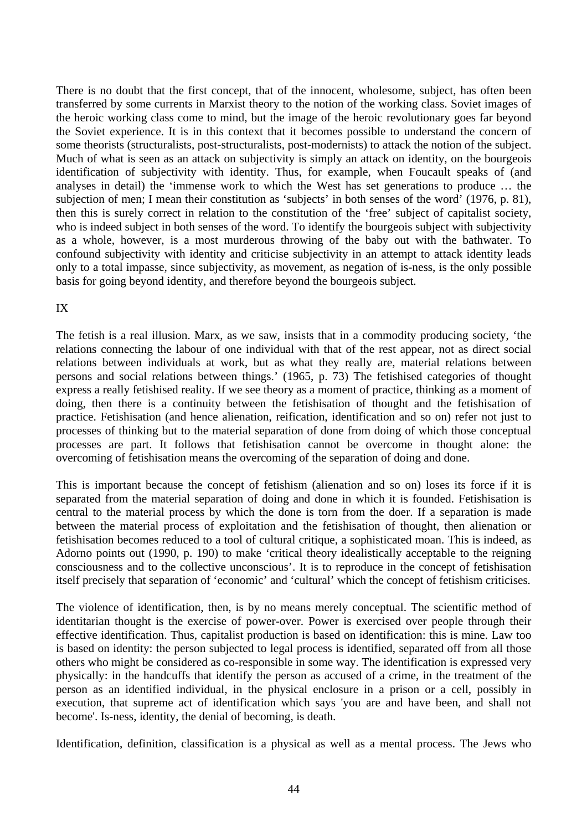There is no doubt that the first concept, that of the innocent, wholesome, subject, has often been transferred by some currents in Marxist theory to the notion of the working class. Soviet images of the heroic working class come to mind, but the image of the heroic revolutionary goes far beyond the Soviet experience. It is in this context that it becomes possible to understand the concern of some theorists (structuralists, post-structuralists, post-modernists) to attack the notion of the subject. Much of what is seen as an attack on subjectivity is simply an attack on identity, on the bourgeois identification of subjectivity with identity. Thus, for example, when Foucault speaks of (and analyses in detail) the 'immense work to which the West has set generations to produce … the subjection of men; I mean their constitution as 'subjects' in both senses of the word' (1976, p. 81), then this is surely correct in relation to the constitution of the 'free' subject of capitalist society, who is indeed subject in both senses of the word. To identify the bourgeois subject with subjectivity as a whole, however, is a most murderous throwing of the baby out with the bathwater. To confound subjectivity with identity and criticise subjectivity in an attempt to attack identity leads only to a total impasse, since subjectivity, as movement, as negation of is-ness, is the only possible basis for going beyond identity, and therefore beyond the bourgeois subject.

### IX

The fetish is a real illusion. Marx, as we saw, insists that in a commodity producing society, 'the relations connecting the labour of one individual with that of the rest appear, not as direct social relations between individuals at work, but as what they really are, material relations between persons and social relations between things.' (1965, p. 73) The fetishised categories of thought express a really fetishised reality. If we see theory as a moment of practice, thinking as a moment of doing, then there is a continuity between the fetishisation of thought and the fetishisation of practice. Fetishisation (and hence alienation, reification, identification and so on) refer not just to processes of thinking but to the material separation of done from doing of which those conceptual processes are part. It follows that fetishisation cannot be overcome in thought alone: the overcoming of fetishisation means the overcoming of the separation of doing and done.

This is important because the concept of fetishism (alienation and so on) loses its force if it is separated from the material separation of doing and done in which it is founded. Fetishisation is central to the material process by which the done is torn from the doer. If a separation is made between the material process of exploitation and the fetishisation of thought, then alienation or fetishisation becomes reduced to a tool of cultural critique, a sophisticated moan. This is indeed, as Adorno points out (1990, p. 190) to make 'critical theory idealistically acceptable to the reigning consciousness and to the collective unconscious'. It is to reproduce in the concept of fetishisation itself precisely that separation of 'economic' and 'cultural' which the concept of fetishism criticises.

The violence of identification, then, is by no means merely conceptual. The scientific method of identitarian thought is the exercise of power-over. Power is exercised over people through their effective identification. Thus, capitalist production is based on identification: this is mine. Law too is based on identity: the person subjected to legal process is identified, separated off from all those others who might be considered as co-responsible in some way. The identification is expressed very physically: in the handcuffs that identify the person as accused of a crime, in the treatment of the person as an identified individual, in the physical enclosure in a prison or a cell, possibly in execution, that supreme act of identification which says 'you are and have been, and shall not become'. Is-ness, identity, the denial of becoming, is death.

Identification, definition, classification is a physical as well as a mental process. The Jews who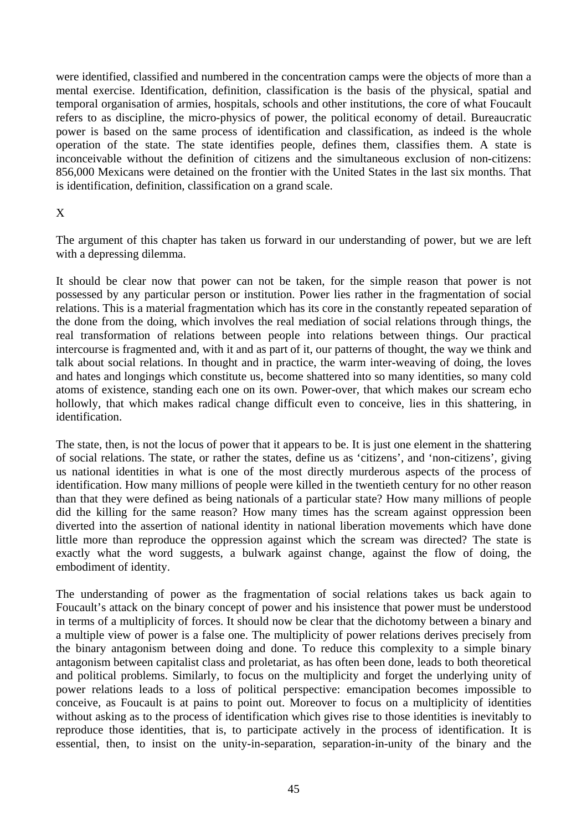were identified, classified and numbered in the concentration camps were the objects of more than a mental exercise. Identification, definition, classification is the basis of the physical, spatial and temporal organisation of armies, hospitals, schools and other institutions, the core of what Foucault refers to as discipline, the micro-physics of power, the political economy of detail. Bureaucratic power is based on the same process of identification and classification, as indeed is the whole operation of the state. The state identifies people, defines them, classifies them. A state is inconceivable without the definition of citizens and the simultaneous exclusion of non-citizens: 856,000 Mexicans were detained on the frontier with the United States in the last six months. That is identification, definition, classification on a grand scale.

# X

The argument of this chapter has taken us forward in our understanding of power, but we are left with a depressing dilemma.

It should be clear now that power can not be taken, for the simple reason that power is not possessed by any particular person or institution. Power lies rather in the fragmentation of social relations. This is a material fragmentation which has its core in the constantly repeated separation of the done from the doing, which involves the real mediation of social relations through things, the real transformation of relations between people into relations between things. Our practical intercourse is fragmented and, with it and as part of it, our patterns of thought, the way we think and talk about social relations. In thought and in practice, the warm inter-weaving of doing, the loves and hates and longings which constitute us, become shattered into so many identities, so many cold atoms of existence, standing each one on its own. Power-over, that which makes our scream echo hollowly, that which makes radical change difficult even to conceive, lies in this shattering, in identification.

The state, then, is not the locus of power that it appears to be. It is just one element in the shattering of social relations. The state, or rather the states, define us as 'citizens', and 'non-citizens', giving us national identities in what is one of the most directly murderous aspects of the process of identification. How many millions of people were killed in the twentieth century for no other reason than that they were defined as being nationals of a particular state? How many millions of people did the killing for the same reason? How many times has the scream against oppression been diverted into the assertion of national identity in national liberation movements which have done little more than reproduce the oppression against which the scream was directed? The state is exactly what the word suggests, a bulwark against change, against the flow of doing, the embodiment of identity.

The understanding of power as the fragmentation of social relations takes us back again to Foucault's attack on the binary concept of power and his insistence that power must be understood in terms of a multiplicity of forces. It should now be clear that the dichotomy between a binary and a multiple view of power is a false one. The multiplicity of power relations derives precisely from the binary antagonism between doing and done. To reduce this complexity to a simple binary antagonism between capitalist class and proletariat, as has often been done, leads to both theoretical and political problems. Similarly, to focus on the multiplicity and forget the underlying unity of power relations leads to a loss of political perspective: emancipation becomes impossible to conceive, as Foucault is at pains to point out. Moreover to focus on a multiplicity of identities without asking as to the process of identification which gives rise to those identities is inevitably to reproduce those identities, that is, to participate actively in the process of identification. It is essential, then, to insist on the unity-in-separation, separation-in-unity of the binary and the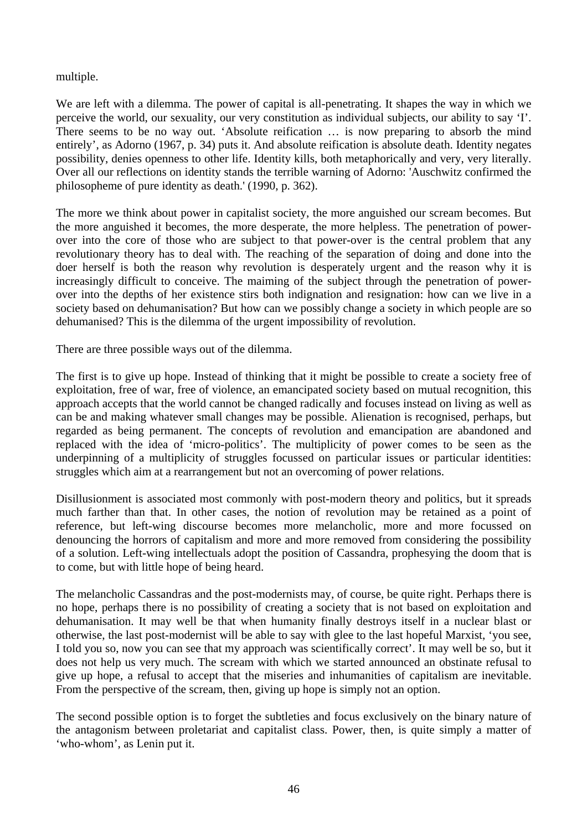multiple.

We are left with a dilemma. The power of capital is all-penetrating. It shapes the way in which we perceive the world, our sexuality, our very constitution as individual subjects, our ability to say 'I'. There seems to be no way out. 'Absolute reification … is now preparing to absorb the mind entirely', as Adorno (1967, p. 34) puts it. And absolute reification is absolute death. Identity negates possibility, denies openness to other life. Identity kills, both metaphorically and very, very literally. Over all our reflections on identity stands the terrible warning of Adorno: 'Auschwitz confirmed the philosopheme of pure identity as death.' (1990, p. 362).

The more we think about power in capitalist society, the more anguished our scream becomes. But the more anguished it becomes, the more desperate, the more helpless. The penetration of powerover into the core of those who are subject to that power-over is the central problem that any revolutionary theory has to deal with. The reaching of the separation of doing and done into the doer herself is both the reason why revolution is desperately urgent and the reason why it is increasingly difficult to conceive. The maiming of the subject through the penetration of powerover into the depths of her existence stirs both indignation and resignation: how can we live in a society based on dehumanisation? But how can we possibly change a society in which people are so dehumanised? This is the dilemma of the urgent impossibility of revolution.

There are three possible ways out of the dilemma.

The first is to give up hope. Instead of thinking that it might be possible to create a society free of exploitation, free of war, free of violence, an emancipated society based on mutual recognition, this approach accepts that the world cannot be changed radically and focuses instead on living as well as can be and making whatever small changes may be possible. Alienation is recognised, perhaps, but regarded as being permanent. The concepts of revolution and emancipation are abandoned and replaced with the idea of 'micro-politics'. The multiplicity of power comes to be seen as the underpinning of a multiplicity of struggles focussed on particular issues or particular identities: struggles which aim at a rearrangement but not an overcoming of power relations.

Disillusionment is associated most commonly with post-modern theory and politics, but it spreads much farther than that. In other cases, the notion of revolution may be retained as a point of reference, but left-wing discourse becomes more melancholic, more and more focussed on denouncing the horrors of capitalism and more and more removed from considering the possibility of a solution. Left-wing intellectuals adopt the position of Cassandra, prophesying the doom that is to come, but with little hope of being heard.

The melancholic Cassandras and the post-modernists may, of course, be quite right. Perhaps there is no hope, perhaps there is no possibility of creating a society that is not based on exploitation and dehumanisation. It may well be that when humanity finally destroys itself in a nuclear blast or otherwise, the last post-modernist will be able to say with glee to the last hopeful Marxist, 'you see, I told you so, now you can see that my approach was scientifically correct'. It may well be so, but it does not help us very much. The scream with which we started announced an obstinate refusal to give up hope, a refusal to accept that the miseries and inhumanities of capitalism are inevitable. From the perspective of the scream, then, giving up hope is simply not an option.

The second possible option is to forget the subtleties and focus exclusively on the binary nature of the antagonism between proletariat and capitalist class. Power, then, is quite simply a matter of 'who-whom', as Lenin put it.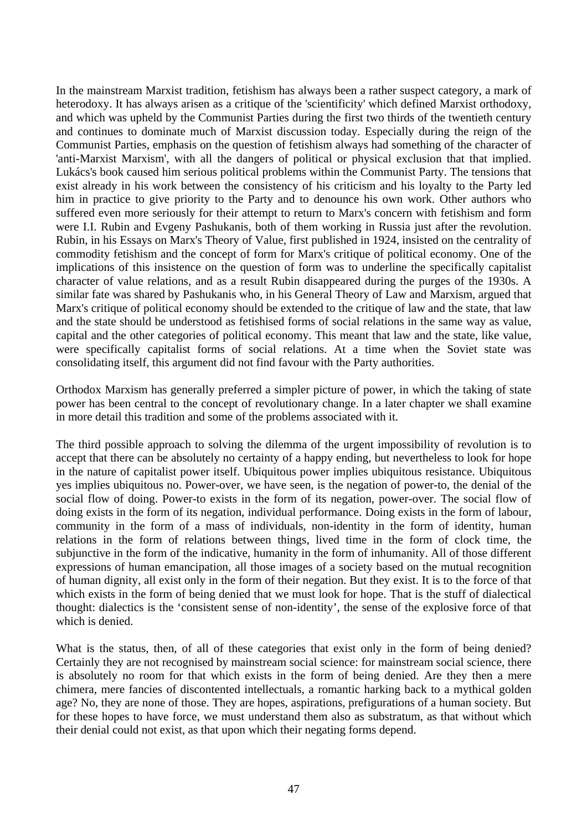In the mainstream Marxist tradition, fetishism has always been a rather suspect category, a mark of heterodoxy. It has always arisen as a critique of the 'scientificity' which defined Marxist orthodoxy, and which was upheld by the Communist Parties during the first two thirds of the twentieth century and continues to dominate much of Marxist discussion today. Especially during the reign of the Communist Parties, emphasis on the question of fetishism always had something of the character of 'anti-Marxist Marxism', with all the dangers of political or physical exclusion that that implied. Lukács's book caused him serious political problems within the Communist Party. The tensions that exist already in his work between the consistency of his criticism and his loyalty to the Party led him in practice to give priority to the Party and to denounce his own work. Other authors who suffered even more seriously for their attempt to return to Marx's concern with fetishism and form were I.I. Rubin and Evgeny Pashukanis, both of them working in Russia just after the revolution. Rubin, in his Essays on Marx's Theory of Value, first published in 1924, insisted on the centrality of commodity fetishism and the concept of form for Marx's critique of political economy. One of the implications of this insistence on the question of form was to underline the specifically capitalist character of value relations, and as a result Rubin disappeared during the purges of the 1930s. A similar fate was shared by Pashukanis who, in his General Theory of Law and Marxism, argued that Marx's critique of political economy should be extended to the critique of law and the state, that law and the state should be understood as fetishised forms of social relations in the same way as value, capital and the other categories of political economy. This meant that law and the state, like value, were specifically capitalist forms of social relations. At a time when the Soviet state was consolidating itself, this argument did not find favour with the Party authorities.

Orthodox Marxism has generally preferred a simpler picture of power, in which the taking of state power has been central to the concept of revolutionary change. In a later chapter we shall examine in more detail this tradition and some of the problems associated with it.

The third possible approach to solving the dilemma of the urgent impossibility of revolution is to accept that there can be absolutely no certainty of a happy ending, but nevertheless to look for hope in the nature of capitalist power itself. Ubiquitous power implies ubiquitous resistance. Ubiquitous yes implies ubiquitous no. Power-over, we have seen, is the negation of power-to, the denial of the social flow of doing. Power-to exists in the form of its negation, power-over. The social flow of doing exists in the form of its negation, individual performance. Doing exists in the form of labour, community in the form of a mass of individuals, non-identity in the form of identity, human relations in the form of relations between things, lived time in the form of clock time, the subjunctive in the form of the indicative, humanity in the form of inhumanity. All of those different expressions of human emancipation, all those images of a society based on the mutual recognition of human dignity, all exist only in the form of their negation. But they exist. It is to the force of that which exists in the form of being denied that we must look for hope. That is the stuff of dialectical thought: dialectics is the 'consistent sense of non-identity', the sense of the explosive force of that which is denied.

What is the status, then, of all of these categories that exist only in the form of being denied? Certainly they are not recognised by mainstream social science: for mainstream social science, there is absolutely no room for that which exists in the form of being denied. Are they then a mere chimera, mere fancies of discontented intellectuals, a romantic harking back to a mythical golden age? No, they are none of those. They are hopes, aspirations, prefigurations of a human society. But for these hopes to have force, we must understand them also as substratum, as that without which their denial could not exist, as that upon which their negating forms depend.